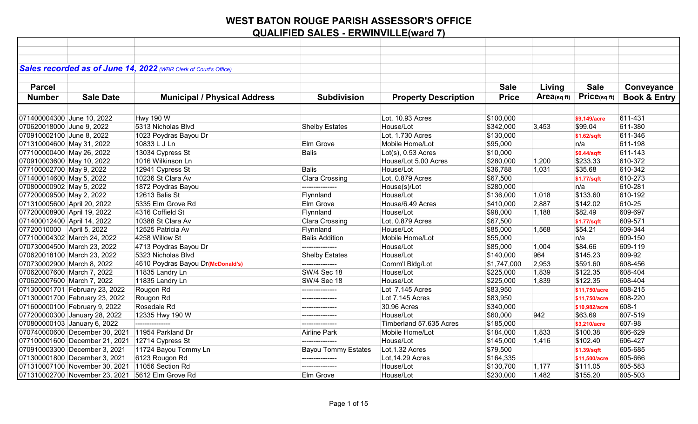|                             |                                | Sales recorded as of June 14, 2022 (WBR Clerk of Court's Office) |                            |                             |              |                |                   |                         |
|-----------------------------|--------------------------------|------------------------------------------------------------------|----------------------------|-----------------------------|--------------|----------------|-------------------|-------------------------|
|                             |                                |                                                                  |                            |                             |              |                |                   |                         |
| <b>Parcel</b>               |                                |                                                                  |                            |                             | <b>Sale</b>  | Living         | <b>Sale</b>       | Conveyance              |
| <b>Number</b>               | <b>Sale Date</b>               | <b>Municipal / Physical Address</b>                              | <b>Subdivision</b>         | <b>Property Description</b> | <b>Price</b> | $Area$ (sq ft) | $Price_{(sq ft)}$ | <b>Book &amp; Entry</b> |
|                             |                                |                                                                  |                            |                             |              |                |                   |                         |
| 071400004300 June 10, 2022  |                                | <b>Hwy 190 W</b>                                                 |                            | Lot, 10.93 Acres            | \$100,000    |                | \$9.149/acre      | 611-431                 |
| 070620018000 June 9, 2022   |                                | 5313 Nicholas Blvd                                               | <b>Shelby Estates</b>      | House/Lot                   | \$342,000    | 3,453          | \$99.04           | 611-380                 |
| 070910002100 June 8, 2022   |                                | 1023 Poydras Bayou Dr                                            |                            | Lot, 1.730 Acres            | \$130,000    |                | \$1.62/sqft       | 611-346                 |
| 071310004600 May 31, 2022   |                                | 10833 L J Ln                                                     | Elm Grove                  | Mobile Home/Lot             | \$95,000     |                | n/a               | 611-198                 |
| 077100000400 May 26, 2022   |                                | 13034 Cypress St                                                 | <b>Balis</b>               | $Lot(s)$ , 0.53 Acres       | \$10,000     |                | \$0.44/sqft       | 611-143                 |
| 070910003600 May 10, 2022   |                                | 1016 Wilkinson Ln                                                |                            | House/Lot 5.00 Acres        | \$280,000    | 1,200          | \$233.33          | 610-372                 |
| 077100002700 May 9, 2022    |                                | 12941 Cypress St                                                 | <b>Balis</b>               | House/Lot                   | \$36,788     | 1,031          | \$35.68           | 610-342                 |
| 071400014600 May 5, 2022    |                                | 10236 St Clara Av                                                | <b>Clara Crossing</b>      | Lot, 0.879 Acres            | \$67,500     |                | \$1.77/sqft       | 610-273                 |
| 070800000902 May 5, 2022    |                                | 1872 Poydras Bayou                                               | ---------------            | House(s)/Lot                | \$280,000    |                | n/a               | 610-281                 |
| 077200009500 May 2, 2022    |                                | 12613 Balis St                                                   | Flynnland                  | House/Lot                   | \$136,000    | 1,018          | \$133.60          | 610-192                 |
| 071310005600 April 20, 2022 |                                | 5335 Elm Grove Rd                                                | Elm Grove                  | House/6.49 Acres            | \$410,000    | 2,887          | \$142.02          | 610-25                  |
| 077200008900 April 19, 2022 |                                | 4316 Coffield St                                                 | Flynnland                  | House/Lot                   | \$98,000     | 1,188          | \$82.49           | 609-697                 |
| 071400012400 April 14, 2022 |                                | 10388 St Clara Av                                                | Clara Crossing             | Lot, 0.879 Acres            | \$67,500     |                | \$1.77/sqft       | 609-571                 |
| 07720010000 April 5, 2022   |                                | 12525 Patricia Av                                                | Flynnland                  | House/Lot                   | \$85,000     | 1,568          | \$54.21           | 609-344                 |
|                             | 077100004302 March 24, 2022    | 4258 Willow St                                                   | <b>Balis Addition</b>      | Mobile Home/Lot             | \$55,000     |                | n/a               | 609-150                 |
|                             | 070730004500 March 23, 2022    | 4713 Poydras Bayou Dr                                            |                            | House/Lot                   | \$85,000     | 1,004          | \$84.66           | 609-119                 |
|                             | 070620018100 March 23, 2022    | 5323 Nicholas Blvd                                               | <b>Shelby Estates</b>      | House/Lot                   | \$140,000    | 964            | \$145.23          | 609-92                  |
| 070730002900 March 8, 2022  |                                | 4610 Poydras Bayou Dr(McDonald's)                                | ---------------            | Comm'l Bldg/Lot             | \$1,747,000  | 2,953          | \$591.60          | 608-456                 |
| 070620007600 March 7, 2022  |                                | 11835 Landry Ln                                                  | <b>SW/4 Sec 18</b>         | House/Lot                   | \$225,000    | 1,839          | \$122.35          | 608-404                 |
| 070620007600 March 7, 2022  |                                | 11835 Landry Ln                                                  | <b>SW/4 Sec 18</b>         | House/Lot                   | \$225,000    | 1,839          | \$122.35          | 608-404                 |
|                             | 071300001701 February 23, 2022 | Rougon Rd                                                        | ---------------            | Lot 7.145 Acres             | \$83,950     |                | \$11,750/acre     | 608-215                 |
|                             | 071300001700 February 23, 2022 | Rougon Rd                                                        | ---------------            | Lot 7.145 Acres             | \$83,950     |                | \$11,750/acre     | 608-220                 |
|                             | 071600000100 February 9, 2022  | Rosedale Rd                                                      |                            | 30.96 Acres                 | \$340,000    |                | \$10,982/acre     | 608-1                   |
|                             | 077200000300 January 28, 2022  | 12335 Hwy 190 W                                                  |                            | House/Lot                   | \$60,000     | 942            | \$63.69           | 607-519                 |
|                             | 070800000103 January 6, 2022   | ---------------                                                  | ---------------            | Timberland 57.635 Acres     | \$185,000    |                | \$3,210/acre      | 607-98                  |
|                             | 070740000600 December 30, 2021 | 11954 Parkland Dr                                                | Airline Park               | Mobile Home/Lot             | \$184,000    | 1,833          | \$100.38          | 606-629                 |
|                             | 077100001600 December 21, 2021 | 12714 Cypress St                                                 | _______________            | House/Lot                   | \$145,000    | 1,416          | \$102.40          | 606-427                 |
|                             | 070910003300 December 3, 2021  | 11724 Bayou Tommy Ln                                             | <b>Bayou Tommy Estates</b> | Lot, 1.32 Acres             | \$79,500     |                | \$1.39/sqft       | 605-685                 |
|                             | 071300001800 December 3, 2021  | 6123 Rougon Rd                                                   | ---------------            | Lot, 14.29 Acres            | \$164,335    |                | \$11,500/acre     | 605-666                 |
|                             | 071310007100 November 30, 2021 | 11056 Section Rd                                                 | ---------------            | House/Lot                   | \$130,700    | 1,177          | \$111.05          | 605-583                 |
|                             | 071310002700 November 23, 2021 | 5612 Elm Grove Rd                                                | Elm Grove                  | House/Lot                   | \$230,000    | 1,482          | \$155.20          | 605-503                 |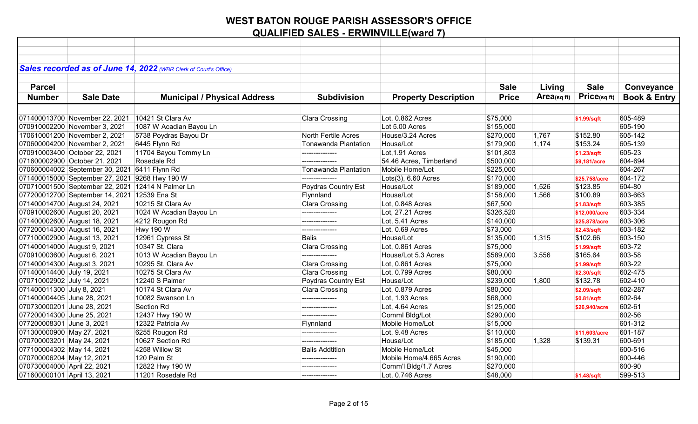| Sales recorded as of June 14, 2022 (WBR Clerk of Court's Office) |                                     |                        |                             |              |            |               |                         |
|------------------------------------------------------------------|-------------------------------------|------------------------|-----------------------------|--------------|------------|---------------|-------------------------|
|                                                                  |                                     |                        |                             |              |            |               |                         |
| <b>Parcel</b>                                                    |                                     |                        |                             | <b>Sale</b>  | Living     | <b>Sale</b>   | Conveyance              |
| <b>Number</b><br><b>Sale Date</b>                                | <b>Municipal / Physical Address</b> | <b>Subdivision</b>     | <b>Property Description</b> | <b>Price</b> | Area(sqft) | Price(sqft)   | <b>Book &amp; Entry</b> |
|                                                                  |                                     |                        |                             |              |            |               |                         |
| 071400013700 November 22, 2021                                   | 10421 St Clara Av                   | Clara Crossing         | Lot, 0.862 Acres            | \$75,000     |            | \$1.99/sqft   | 605-489                 |
| 070910002200 November 3, 2021                                    | 1087 W Acadian Bayou Ln             |                        | Lot 5.00 Acres              | \$155,000    |            |               | 605-190                 |
| 170610001200 November 2, 2021                                    | 5738 Poydras Bayou Dr               | North Fertile Acres    | House/3.24 Acres            | \$270,000    | 1,767      | \$152.80      | 605-142                 |
| 070600004200 November 2, 2021                                    | 6445 Flynn Rd                       | Tonawanda Plantation   | House/Lot                   | \$179,900    | 1,174      | \$153.24      | 605-139                 |
| 070910003400 October 22, 2021                                    | 11704 Bayou Tommy Ln                | ---------------        | Lot.1.91 Acres              | \$101,803    |            | \$1.23/sqft   | 605-23                  |
| 071600002900 October 21, 2021                                    | Rosedale Rd                         |                        | 54.46 Acres, Timberland     | \$500,000    |            | \$9,181/acre  | 604-694                 |
| 070600004002 September 30, 2021                                  | 6411 Flynn Rd                       | Tonawanda Plantation   | Mobile Home/Lot             | \$225,000    |            |               | 604-267                 |
| 071400015000 September 27, 2021 9268 Hwy 190 W                   |                                     |                        | $Lots(3)$ , 6.60 Acres      | \$170,000    |            | \$25.758/acre | 604-172                 |
| 070710001500 September 22, 2021 12414 N Palmer Ln                |                                     | Poydras Country Est    | House/Lot                   | \$189,000    | 1,526      | \$123.85      | 604-80                  |
| 077200012700 September 14, 2021 12539 Ena St                     |                                     | Flynnland              | House/Lot                   | \$158,000    | 1,566      | \$100.89      | 603-663                 |
| 071400014700 August 24, 2021                                     | 10215 St Clara Av                   | Clara Crossing         | Lot, 0.848 Acres            | \$67,500     |            | \$1.83/sqft   | 603-385                 |
| 070910002600 August 20, 2021                                     | 1024 W Acadian Bayou Ln             |                        | Lot, 27.21 Acres            | \$326,520    |            | \$12,000/acre | 603-334                 |
| 071400002600 August 18, 2021                                     | 4212 Rougon Rd                      | ---------------        | Lot, 5.41 Acres             | \$140,000    |            | \$25,878/acre | 603-306                 |
| 077200014300 August 16, 2021                                     | <b>Hwy 190 W</b>                    | ---------------        | Lot, 0.69 Acres             | \$73,000     |            | \$2.43/sqft   | 603-182                 |
| 077100002900 August 13, 2021                                     | 12961 Cypress St                    | <b>Balis</b>           | House/Lot                   | \$135,000    | 1,315      | \$102.66      | 603-150                 |
| 071400014000 August 9, 2021                                      | 10347 St. Clara                     | Clara Crossing         | Lot, 0.861 Acres            | \$75,000     |            | \$1.99/sqft   | 603-72                  |
| 070910003600 August 6, 2021                                      | 1013 W Acadian Bayou Ln             |                        | House/Lot 5.3 Acres         | \$589,000    | 3,556      | \$165.64      | 603-58                  |
| 071400014300 August 3, 2021                                      | 10295 St. Clara Av                  | Clara Crossing         | Lot, 0.861 Acres            | \$75,000     |            | \$1.99/sqft   | 603-22                  |
| 071400014400 July 19, 2021                                       | 10275 St Clara Av                   | Clara Crossing         | Lot, 0.799 Acres            | \$80,000     |            | \$2.30/sqft   | 602-475                 |
| 070710002902 July 14, 2021                                       | 12240 S Palmer                      | Poydras Country Est    | House/Lot                   | \$239,000    | 1,800      | \$132.78      | 602-410                 |
| 071400011300 July 8, 2021                                        | 10174 St Clara Av                   | Clara Crossing         | Lot, 0.879 Acres            | \$80,000     |            | \$2.09/sqft   | 602-287                 |
| 071400004405 June 28, 2021                                       | 10082 Swanson Ln                    | ---------------        | Lot, 1.93 Acres             | \$68,000     |            | \$0.81/sqft   | 602-64                  |
| 070730000201 June 28, 2021                                       | Section Rd                          | ---------------        | Lot, 4.64 Acres             | \$125,000    |            | \$26,940/acre | 602-61                  |
| 077200014300 June 25, 2021                                       | 12437 Hwy 190 W                     | ---------------        | Comml Bldg/Lot              | \$290,000    |            |               | 602-56                  |
| 077200008301 June 3, 2021                                        | 12322 Patricia Av                   | Flynnland              | Mobile Home/Lot             | \$15,000     |            |               | 601-312                 |
| 071300000900 May 27, 2021                                        | 6255 Rougon Rd                      | ---------------        | Lot, 9.48 Acres             | \$110,000    |            | \$11,603/acre | 601-187                 |
| 070700003201 May 24, 2021                                        | 10627 Section Rd                    | ---------------        | House/Lot                   | \$185,000    | 1,328      | \$139.31      | 600-691                 |
| 077100004302 May 14, 2021                                        | 4258 Willow St                      | <b>Balis Addtition</b> | Mobile Home/Lot             | \$45,000     |            |               | 600-516                 |
| 070700006204 May 12, 2021                                        | 120 Palm St                         | ---------------        | Mobile Home/4.665 Acres     | \$190,000    |            |               | 600-446                 |
| 070730004000 April 22, 2021                                      | 12822 Hwy 190 W                     |                        | Comm'l Bldg/1.7 Acres       | \$270,000    |            |               | 600-90                  |
| 071600000101 April 13, 2021                                      | 11201 Rosedale Rd                   | ---------------        | Lot, 0.746 Acres            | \$48,000     |            | \$1.48/sqft   | 599-513                 |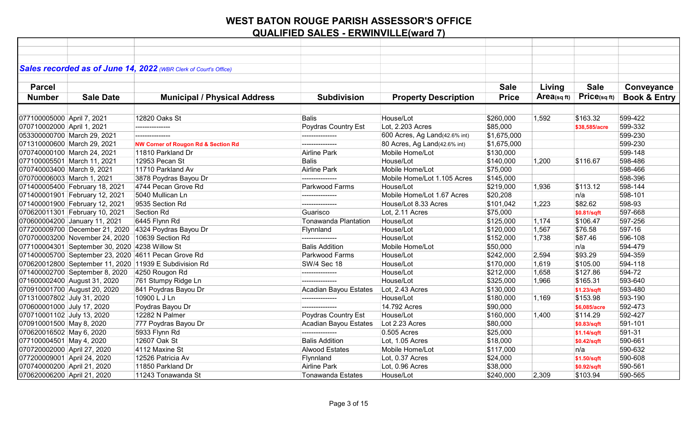|                             |                                                | Sales recorded as of June 14, 2022 (WBR Clerk of Court's Office) |                          |                               |              |                         |                   |                         |
|-----------------------------|------------------------------------------------|------------------------------------------------------------------|--------------------------|-------------------------------|--------------|-------------------------|-------------------|-------------------------|
|                             |                                                |                                                                  |                          |                               |              |                         |                   |                         |
| <b>Parcel</b>               |                                                |                                                                  |                          |                               | <b>Sale</b>  | Living                  | <b>Sale</b>       | Conveyance              |
| <b>Number</b>               | <b>Sale Date</b>                               | <b>Municipal / Physical Address</b>                              | <b>Subdivision</b>       | <b>Property Description</b>   | <b>Price</b> | Area <sub>(sq ft)</sub> | $Price_{(sq ft)}$ | <b>Book &amp; Entry</b> |
|                             |                                                |                                                                  |                          |                               |              |                         |                   |                         |
| 077100005000 April 7, 2021  |                                                | 12820 Oaks St                                                    | <b>Balis</b>             | House/Lot                     | \$260,000    | 1,592                   | \$163.32          | 599-422                 |
| 070710002000 April 1, 2021  |                                                | ---------------                                                  | Poydras Country Est      | Lot, 2.203 Acres              | \$85,000     |                         | \$38,585/acre     | 599-332                 |
|                             | 053300000700 March 29, 2021                    | ---------------                                                  | ---------------          | 600 Acres, Ag Land(42.6% int) | \$1,675,000  |                         |                   | 599-230                 |
|                             | 071310000600 March 29, 2021                    | <b>NW Corner of Rougon Rd &amp; Section Rd</b>                   | ---------------          | 80 Acres, Ag Land(42.6% int)  | \$1,675,000  |                         |                   | 599-230                 |
|                             | 070740000100 March 24, 2021                    | 11810 Parkland Dr                                                | <b>Airline Park</b>      | Mobile Home/Lot               | \$130,000    |                         |                   | 599-148                 |
|                             | 077100005501 March 11, 2021                    | 12953 Pecan St                                                   | Balis                    | House/Lot                     | \$140,000    | 1,200                   | \$116.67          | 598-486                 |
| 070740003400 March 9, 2021  |                                                | 11710 Parkland Av                                                | Airline Park             | Mobile Home/Lot               | \$75,000     |                         |                   | 598-466                 |
| 070700006003 March 1, 2021  |                                                | 3878 Poydras Bayou Dr                                            |                          | Mobile Home/Lot 1.105 Acres   | \$145,000    |                         |                   | 598-396                 |
|                             | 071400005400 February 18, 2021                 | 4744 Pecan Grove Rd                                              | Parkwood Farms           | House/Lot                     | \$219,000    | 1,936                   | \$113.12          | 598-144                 |
|                             | 071400001901 February 12, 2021                 | 5040 Mullican Ln                                                 |                          | Mobile Home/Lot 1.67 Acres    | \$20,208     |                         | n/a               | 598-101                 |
|                             | 071400001900 February 12, 2021                 | 9535 Section Rd                                                  | ---------------          | House/Lot 8.33 Acres          | \$101,042    | 1,223                   | \$82.62           | 598-93                  |
|                             | 070620011301 February 10, 2021                 | Section Rd                                                       | Guarisco                 | Lot, 2.11 Acres               | \$75,000     |                         | \$0.81/sqft       | 597-668                 |
|                             | 070600004200 January 11, 2021                  | 6445 Flynn Rd                                                    | Tonawanda Plantation     | House/Lot                     | \$125,000    | 1,174                   | \$106.47          | 597-256                 |
|                             |                                                | 077200009700 December 21, 2020 4324 Poydras Bayou Dr             | Flynnland                | House/Lot                     | \$120,000    | 1,567                   | \$76.58           | 597-16                  |
|                             | 070700003200 November 24, 2020                 | 10639 Section Rd                                                 | ---------------          | House/Lot                     | \$152,000    | 1,738                   | \$87.46           | 596-108                 |
|                             | 077100004301 September 30, 2020 4238 Willow St |                                                                  | <b>Balis Addition</b>    | Mobile Home/Lot               | \$50,000     |                         | n/a               | 594-479                 |
|                             |                                                | 071400005700 September 23, 2020 4611 Pecan Grove Rd              | Parkwood Farms           | House/Lot                     | \$242,000    | 2,594                   | \$93.29           | 594-359                 |
|                             |                                                | 070620012800 September 11, 2020 11939 E Subdivision Rd           | <b>SW/4 Sec 18</b>       | House/Lot                     | \$170,000    | 1,619                   | \$105.00          | 594-118                 |
|                             | 071400002700 September 8, 2020                 | 4250 Rougon Rd                                                   | ---------------          | House/Lot                     | \$212,000    | 1,658                   | \$127.86          | 594-72                  |
|                             | 071600002400 August 31, 2020                   | 761 Stumpy Ridge Ln                                              |                          | House/Lot                     | \$325,000    | 1,966                   | \$165.31          | 593-640                 |
|                             | 070910001700 August 20, 2020                   | 841 Poydras Bayou Dr                                             | Acadian Bayou Estates    | Lot, 2.43 Acres               | \$130,000    |                         | \$1.23/sqft       | 593-480                 |
| 071310007802 July 31, 2020  |                                                | 10900 L J Ln                                                     | ---------------          | House/Lot                     | \$180,000    | 1,169                   | \$153.98          | 593-190                 |
| 070600001000 July 17, 2020  |                                                | Poydras Bayou Dr                                                 | ---------------          | 14.792 Acres                  | \$90,000     |                         | \$6,085/acre      | 592-473                 |
| 070710001102 July 13, 2020  |                                                | 12282 N Palmer                                                   | Poydras Country Est      | House/Lot                     | \$160,000    | 1,400                   | \$114.29          | 592-427                 |
| 070910001500 May 8, 2020    |                                                | 777 Poydras Bayou Dr                                             | Acadian Bayou Estates    | Lot 2.23 Acres                | \$80,000     |                         | \$0.83/sqft       | 591-101                 |
| 070620016502 May 6, 2020    |                                                | 5933 Flynn Rd                                                    | ---------------          | 0.505 Acres                   | \$25,000     |                         | \$1.14/sqft       | 591-31                  |
| 077100004501 May 4, 2020    |                                                | 12607 Oak St                                                     | <b>Balis Addition</b>    | Lot, 1.05 Acres               | \$18,000     |                         | \$0.42/sqft       | 590-661                 |
| 070720002000 April 27, 2020 |                                                | 4112 Maxine St                                                   | <b>Alwood Estates</b>    | Mobile Home/Lot               | \$117,000    |                         | n/a               | 590-632                 |
| 077200009001 April 24, 2020 |                                                | 12526 Patricia Av                                                | Flynnland                | Lot, 0.37 Acres               | \$24,000     |                         | \$1.50/sqft       | 590-608                 |
| 070740000200 April 21, 2020 |                                                | 11850 Parkland Dr                                                | Airline Park             | Lot, 0.96 Acres               | \$38,000     |                         | \$0.92/sqft       | 590-561                 |
| 070620006200 April 21, 2020 |                                                | 11243 Tonawanda St                                               | <b>Tonawanda Estates</b> | House/Lot                     | \$240,000    | 2,309                   | \$103.94          | 590-565                 |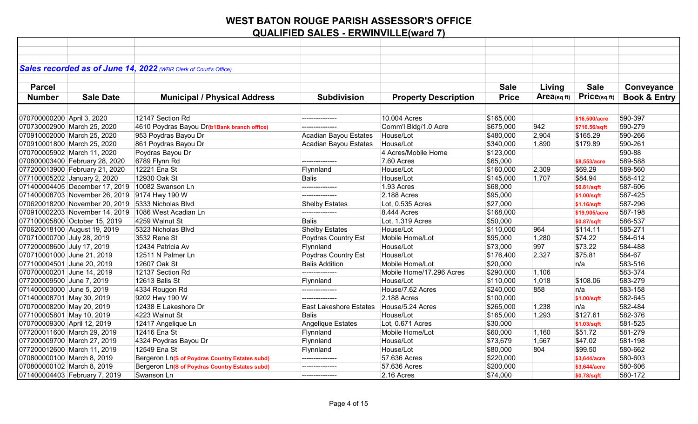| Sales recorded as of June 14, 2022 (WBR Clerk of Court's Office) |                                                |                               |                             |              |            |               |                         |
|------------------------------------------------------------------|------------------------------------------------|-------------------------------|-----------------------------|--------------|------------|---------------|-------------------------|
|                                                                  |                                                |                               |                             |              |            |               |                         |
| <b>Parcel</b>                                                    |                                                |                               |                             | <b>Sale</b>  | Living     | <b>Sale</b>   | Conveyance              |
| <b>Number</b><br><b>Sale Date</b>                                | <b>Municipal / Physical Address</b>            | <b>Subdivision</b>            | <b>Property Description</b> | <b>Price</b> | Area(sqft) | Price(sqft)   | <b>Book &amp; Entry</b> |
|                                                                  |                                                |                               |                             |              |            |               |                         |
| 070700000200 April 3, 2020                                       | 12147 Section Rd                               | ---------------               | 10.004 Acres                | \$165,000    |            | \$16,500/acre | 590-397                 |
| 070730002900 March 25, 2020                                      | 4610 Poydras Bayou Dr(b1Bank branch office)    | ---------------               | Comm'l Bldg/1.0 Acre        | \$675,000    | 942        | \$716.56/sqft | 590-279                 |
| 070910002000 March 25, 2020                                      | 953 Poydras Bayou Dr                           | Acadian Bayou Estates         | House/Lot                   | \$480,000    | 2,904      | \$165.29      | 590-266                 |
| 070910001800 March 25, 2020                                      | 861 Poydras Bayou Dr                           | Acadian Bayou Estates         | House/Lot                   | \$340,000    | 1,890      | \$179.89      | 590-261                 |
| 070700005902 March 11, 2020                                      | Poydras Bayou Dr                               |                               | 4 Acres/Mobile Home         | \$123,000    |            |               | 590-88                  |
| 070600003400 February 28, 2020                                   | 6789 Flynn Rd                                  | ---------------               | 7.60 Acres                  | \$65,000     |            | \$8,553/acre  | 589-588                 |
| 077200013900 February 21, 2020                                   | 12221 Ena St                                   | Flynnland                     | House/Lot                   | \$160,000    | 2,309      | \$69.29       | 589-560                 |
| 077100005202 January 2, 2020                                     | 12930 Oak St                                   | <b>Balis</b>                  | House/Lot                   | \$145,000    | 1,707      | \$84.94       | 588-412                 |
| 071400004405 December 17, 2019 10082 Swanson Ln                  |                                                | ---------------               | 1.93 Acres                  | \$68,000     |            | \$0.81/sqft   | 587-606                 |
| 071400008703 November 26, 2019 9174 Hwy 190 W                    |                                                |                               | 2.188 Acres                 | \$95,000     |            | \$1.00/sqft   | 587-425                 |
| 070620018200 November 20, 2019 5333 Nicholas Blvd                |                                                | <b>Shelby Estates</b>         | Lot, 0.535 Acres            | \$27,000     |            | \$1.16/sqft   | 587-296                 |
| 070910002203 November 14, 2019                                   | 1086 West Acadian Ln                           | ---------------               | 8.444 Acres                 | \$168,000    |            | \$19,905/acre | 587-198                 |
| 077100005800 October 15, 2019                                    | 4259 Walnut St                                 | <b>Balis</b>                  | Lot, 1.319 Acres            | \$50,000     |            | \$0.87/sqft   | 586-537                 |
| 070620018100 August 19, 2019                                     | 5323 Nicholas Blvd                             | <b>Shelby Estates</b>         | House/Lot                   | \$110,000    | 964        | \$114.11      | 585-271                 |
| 070710000700 July 28, 2019                                       | 3532 Rene St                                   | Poydras Country Est           | Mobile Home/Lot             | \$95,000     | 1,280      | \$74.22       | 584-614                 |
| 077200008600 July 17, 2019                                       | 12434 Patricia Av                              | Flynnland                     | House/Lot                   | \$73,000     | 997        | \$73.22       | 584-488                 |
| 070710001000 June 21, 2019                                       | 12511 N Palmer Ln                              | Poydras Country Est           | House/Lot                   | \$176,400    | 2,327      | \$75.81       | 584-67                  |
| 077100004501 June 20, 2019                                       | 12607 Oak St                                   | <b>Balis Addition</b>         | Mobile Home/Lot             | \$20,000     |            | n/a           | 583-516                 |
| 070700000201 June 14, 2019                                       | 12137 Section Rd                               | ---------------               | Mobile Home/17.296 Acres    | \$290,000    | 1,106      |               | 583-374                 |
| 077200009500 June 7, 2019                                        | 12613 Balis St                                 | Flynnland                     | House/Lot                   | \$110,000    | 1,018      | \$108.06      | 583-279                 |
| 071400003000 June 5, 2019                                        | 4334 Rougon Rd                                 | ---------------               | House/7.62 Acres            | \$240,000    | 858        | n/a           | 583-158                 |
| 071400008701 May 30, 2019                                        | 9202 Hwy 190 W                                 | ---------------               | 2.188 Acres                 | \$100,000    |            | \$1.00/sqft   | 582-645                 |
| 070700008200 May 20, 2019                                        | 12438 E Lakeshore Dr                           | <b>East Lakeshore Estates</b> | House/5.24 Acres            | \$265,000    | 1,238      | n/a           | 582-484                 |
| 077100005801 May 10, 2019                                        | 4223 Walnut St                                 | Balis                         | House/Lot                   | \$165,000    | 1,293      | \$127.61      | 582-376                 |
| 070700009300 April 12, 2019                                      | 12417 Angelique Ln                             | Angelique Estates             | Lot, 0.671 Acres            | \$30,000     |            | \$1.03/sqft   | 581-525                 |
| 077200011600 March 29, 2019                                      | 12416 Ena St                                   | Flynnland                     | Mobile Home/Lot             | \$60,000     | 1,160      | \$51.72       | 581-279                 |
| 077200009700 March 27, 2019                                      | 4324 Poydras Bayou Dr                          | Flynnland                     | House/Lot                   | \$73,679     | 1,567      | \$47.02       | 581-198                 |
| 077200012600 March 11, 2019                                      | 12549 Ena St                                   | Flynnland                     | House/Lot                   | \$80,000     | 804        | \$99.50       | 580-662                 |
| 070800000100 March 8, 2019                                       | Bergeron Ln(S of Poydras Country Estates subd) | ---------------               | 57.636 Acres                | \$220,000    |            | \$3,644/acre  | 580-603                 |
| 070800000102 March 8, 2019                                       | Bergeron Ln(S of Poydras Country Estates subd) |                               | 57.636 Acres                | \$200,000    |            | \$3,644/acre  | 580-606                 |
| 071400004403 February 7, 2019                                    | Swanson Ln                                     | ---------------               | 2.16 Acres                  | \$74,000     |            | \$0.78/sqft   | 580-172                 |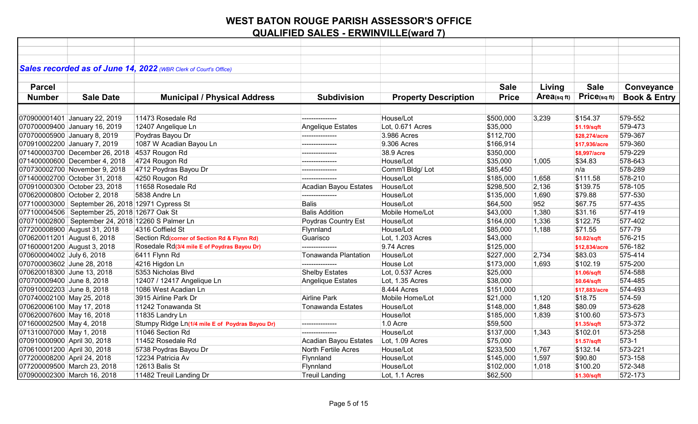|                             |                                                   | Sales recorded as of June 14, 2022 (WBR Clerk of Court's Office) |                          |                             |              |                         |               |                         |
|-----------------------------|---------------------------------------------------|------------------------------------------------------------------|--------------------------|-----------------------------|--------------|-------------------------|---------------|-------------------------|
|                             |                                                   |                                                                  |                          |                             |              |                         |               |                         |
| <b>Parcel</b>               |                                                   |                                                                  |                          |                             | <b>Sale</b>  | Living                  | <b>Sale</b>   | Conveyance              |
| <b>Number</b>               | <b>Sale Date</b>                                  | <b>Municipal / Physical Address</b>                              | <b>Subdivision</b>       | <b>Property Description</b> | <b>Price</b> | Area <sub>(sq ft)</sub> | Price(sqft)   | <b>Book &amp; Entry</b> |
|                             |                                                   |                                                                  |                          |                             |              |                         |               |                         |
|                             | 070900001401 January 22, 2019                     | 11473 Rosedale Rd                                                | --------------           | House/Lot                   | \$500,000    | 3,239                   | \$154.37      | 579-552                 |
|                             | 070700009400 January 16, 2019                     | 12407 Angelique Ln                                               | <b>Angelique Estates</b> | Lot, 0.671 Acres            | \$35,000     |                         | \$1.19/sqft   | 579-473                 |
|                             | 070700005900 January 8, 2019                      | Poydras Bayou Dr                                                 | ---------------          | 3.986 Acres                 | \$112,700    |                         | \$28,274/acre | 579-367                 |
|                             | 070910002200 January 7, 2019                      | 1087 W Acadian Bayou Ln                                          | ---------------          | 9.306 Acres                 | \$166,914    |                         | \$17,936/acre | 579-360                 |
|                             | 071400003700 December 26, 2018 4537 Rougon Rd     |                                                                  | --------------           | 38.9 Acres                  | \$350,000    |                         | \$8,997/acre  | 579-229                 |
|                             | 071400000600 December 4, 2018                     | 4724 Rougon Rd                                                   | ---------------          | House/Lot                   | \$35,000     | 1,005                   | \$34.83       | 578-643                 |
|                             | 070730002700 November 9, 2018                     | 4712 Poydras Bayou Dr                                            | ---------------          | Comm'l Bldg/ Lot            | \$85,450     |                         | n/a           | 578-289                 |
|                             | 071400002700 October 31, 2018                     | 4250 Rougon Rd                                                   |                          | House/Lot                   | \$185,000    | 1,658                   | \$111.58      | 578-210                 |
|                             | 070910000300 October 23, 2018                     | 11658 Rosedale Rd                                                | Acadian Bayou Estates    | House/Lot                   | \$298,500    | 2,136                   | \$139.75      | 578-105                 |
|                             | 070620000800 October 2, 2018                      | 5838 Andre Ln                                                    | ---------------          | House/Lot                   | \$135,000    | 1,690                   | \$79.88       | 577-530                 |
|                             | 077100003000 September 26, 2018 12971 Cypress St  |                                                                  | <b>Balis</b>             | House/Lot                   | \$64,500     | 952                     | \$67.75       | 577-435                 |
|                             | 077100004506 September 25, 2018 12677 Oak St      |                                                                  | <b>Balis Addition</b>    | Mobile Home/Lot             | \$43,000     | 1,380                   | \$31.16       | 577-419                 |
|                             | 070710002800 September 24, 2018 12260 S Palmer Ln |                                                                  | Poydras Country Est      | House/Lot                   | \$164,000    | 1,336                   | \$122.75      | 577-402                 |
|                             | 077200008900 August 31, 2018                      | 4316 Coffield St                                                 | Flynnland                | House/Lot                   | \$85,000     | 1,188                   | \$71.55       | 577-79                  |
|                             | 070620011201 August 6, 2018                       | Section Rd(corner of Section Rd & Flynn Rd)                      | Guarisco                 | Lot, 1.203 Acres            | \$43,000     |                         | \$0.82/sqft   | 576-215                 |
|                             | 071600001200 August 3, 2018                       | Rosedale Rd(3/4 mile E of Poydras Bayou Dr)                      | .                        | 9.74 Acres                  | \$125,000    |                         | \$12,834/acre | 576-182                 |
| 070600004002 July 6, 2018   |                                                   | 6411 Flynn Rd                                                    | Tonawanda Plantation     | House/Lot                   | \$227,000    | 2,734                   | \$83.03       | 575-414                 |
| 070700003602 June 28, 2018  |                                                   | 4216 Higdon Ln                                                   | ---------------          | House Lot                   | \$173,000    | 1,693                   | \$102.19      | 575-200                 |
| 070620018300 June 13, 2018  |                                                   | 5353 Nicholas Blvd                                               | <b>Shelby Estates</b>    | Lot, 0.537 Acres            | \$25,000     |                         | \$1.06/sqft   | 574-588                 |
| 070700009400 June 8, 2018   |                                                   | 12407 / 12417 Angelique Ln                                       | Angelique Estates        | Lot, 1.35 Acres             | \$38,000     |                         | \$0.64/sqft   | 574-485                 |
| 070910002203 June 8, 2018   |                                                   | 1086 West Acadian Ln                                             |                          | 8.444 Acres                 | \$151,000    |                         | \$17,883/acre | 574-493                 |
| 070740002100 May 25, 2018   |                                                   | 3915 Airline Park Dr                                             | <b>Airline Park</b>      | Mobile Home/Lot             | \$21,000     | 1,120                   | \$18.75       | 574-59                  |
| 070620006100 May 17, 2018   |                                                   | 11242 Tonawanda St                                               | <b>Tonawanda Estates</b> | House/Lot                   | \$148,000    | 1,848                   | \$80.09       | 573-628                 |
| 070620007600 May 16, 2018   |                                                   | 11835 Landry Ln                                                  |                          | House/lot                   | \$185,000    | 1,839                   | \$100.60      | 573-573                 |
| 071600002500 May 4, 2018    |                                                   | Stumpy Ridge Ln(1/4 mile E of Poydras Bayou Dr)                  | ---------------          | 1.0 Acre                    | \$59,500     |                         | \$1.35/sqft   | 573-372                 |
| 071310007000 May 1, 2018    |                                                   | 11046 Section Rd                                                 | ---------------          | House/Lot                   | \$137,000    | 1,343                   | \$102.01      | 573-258                 |
| 070910000900 April 30, 2018 |                                                   | 11452 Rosedale Rd                                                | Acadian Bayou Estates    | Lot, 1.09 Acres             | \$75,000     |                         | \$1.57/sqft   | $573-1$                 |
| 070610001200 April 30, 2018 |                                                   | 5738 Poydras Bayou Dr                                            | North Fertile Acres      | House/Lot                   | \$233,500    | 1,767                   | \$132.14      | 573-221                 |
| 077200008200 April 24, 2018 |                                                   | 12234 Patricia Av                                                | Flynnland                | House/Lot                   | \$145,000    | 1,597                   | \$90.80       | 573-158                 |
|                             | 077200009500 March 23, 2018                       | 12613 Balis St                                                   | Flynnland                | House/Lot                   | \$102,000    | 1,018                   | \$100.20      | 572-348                 |
|                             | 070900002300 March 16, 2018                       | 11482 Treuil Landing Dr                                          | <b>Treuil Landing</b>    | Lot, 1.1 Acres              | \$62,500     |                         | \$1.30/sqft   | 572-173                 |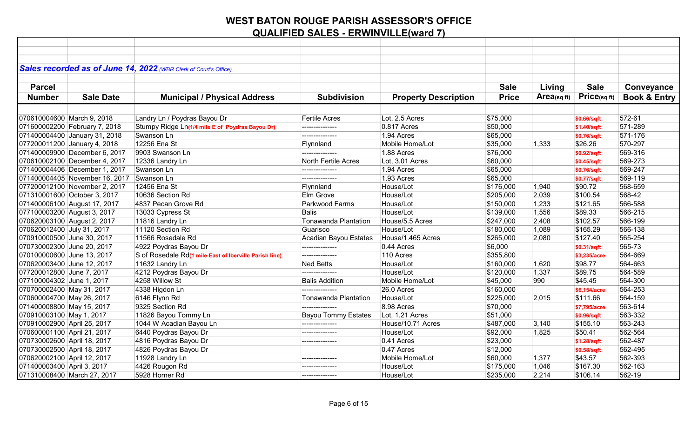| Sales recorded as of June 14, 2022 (WBR Clerk of Court's Office) |                                                        |                             |                             |              |                   |              |                         |
|------------------------------------------------------------------|--------------------------------------------------------|-----------------------------|-----------------------------|--------------|-------------------|--------------|-------------------------|
|                                                                  |                                                        |                             |                             |              |                   |              |                         |
| <b>Parcel</b>                                                    |                                                        |                             |                             | <b>Sale</b>  | Living            | <b>Sale</b>  | Conveyance              |
| <b>Number</b><br><b>Sale Date</b>                                | <b>Municipal / Physical Address</b>                    | <b>Subdivision</b>          | <b>Property Description</b> | <b>Price</b> | $Area_{(sq\,ft)}$ | Price(sqft)  | <b>Book &amp; Entry</b> |
|                                                                  |                                                        |                             |                             |              |                   |              |                         |
| 070610004600 March 9, 2018                                       | Landry Ln / Poydras Bayou Dr                           | <b>Fertile Acres</b>        | Lot, 2.5 Acres              | \$75,000     |                   | \$0.66/sqft  | 572-61                  |
| 071600002200 February 7, 2018                                    | Stumpy Ridge Ln(1/4 mile E of Poydras Bayou Dr)        | ---------------             | 0.817 Acres                 | \$50,000     |                   | \$1.40/sqft  | 571-289                 |
| 071400004400 January 31, 2018                                    | Swanson Ln                                             | .                           | 1.94 Acres                  | \$65,000     |                   | \$0.76/sqft  | 571-176                 |
| 077200011200 January 4, 2018                                     | 12256 Ena St                                           | Flynnland                   | Mobile Home/Lot             | \$35,000     | 1,333             | \$26.26      | 570-297                 |
| 071400009900 December 6, 2017                                    | 9903 Swanson Ln                                        |                             | 1.88 Acres                  | \$76,000     |                   | \$0.92/sqft  | 569-316                 |
| 070610002100 December 4, 2017                                    | 12336 Landry Ln                                        | North Fertile Acres         | Lot, 3.01 Acres             | \$60,000     |                   | \$0.45/sqft  | 569-273                 |
| 071400004406 December 1, 2017                                    | Swanson Ln                                             | ---------------             | 1.94 Acres                  | \$65,000     |                   | \$0.76/sqft  | 569-247                 |
| 071400004405 November 16, 2017                                   | Swanson Ln                                             | ---------------             | 1.93 Acres                  | \$65,000     |                   | \$0.77/sqft  | 569-119                 |
| 077200012100 November 2, 2017                                    | 12456 Ena St                                           | Flynnland                   | House/Lot                   | \$176,000    | 1,940             | \$90.72      | 568-659                 |
| 071310001600 October 3, 2017                                     | 10636 Section Rd                                       | Elm Grove                   | House/Lot                   | \$205,000    | 2,039             | \$100.54     | 568-42                  |
| 071400006100 August 17, 2017                                     | 4837 Pecan Grove Rd                                    | Parkwood Farms              | House/Lot                   | \$150,000    | 1,233             | \$121.65     | 566-588                 |
| 077100003200 August 3, 2017                                      | 13033 Cypress St                                       | <b>Balis</b>                | House/Lot                   | \$139,000    | 1,556             | \$89.33      | 566-215                 |
| 070620003100 August 2, 2017                                      | 11816 Landry Ln                                        | Tonawanda Plantation        | House/5.5 Acres             | \$247,000    | 2,408             | \$102.57     | 566-199                 |
| 070620012400 July 31, 2017                                       | 11120 Section Rd                                       | Guarisco                    | House/Lot                   | \$180,000    | 1,089             | \$165.29     | 566-138                 |
| 070910000500 June 30, 2017                                       | 11566 Rosedale Rd                                      | Acadian Bayou Estates       | House/1.465 Acres           | \$265,000    | 2,080             | \$127.40     | 565-254                 |
| 070730002300 June 20, 2017                                       | 4922 Poydras Bayou Dr                                  |                             | 0.44 Acres                  | \$6,000      |                   | \$0.31/sqft  | 565-73                  |
| 070100000600 June 13, 2017                                       | S of Rosedale Rd(1 mile East of Iberville Parish line) | ---------------             | 110 Acres                   | \$355,800    |                   | \$3,235/acre | 564-669                 |
| 070620003400 June 12, 2017                                       | 11632 Landry Ln                                        | <b>Ned Betts</b>            | House/Lot                   | \$160,000    | 1,620             | \$98.77      | 564-663                 |
| 077200012800 June 7, 2017                                        | 4212 Poydras Bayou Dr                                  | ---------------             | House/Lot                   | \$120,000    | 1,337             | \$89.75      | 564-589                 |
| 077100004302 June 1, 2017                                        | 4258 Willow St                                         | <b>Balis Addition</b>       | Mobile Home/Lot             | \$45,000     | 990               | \$45.45      | 564-300                 |
| 070700002400 May 31, 2017                                        | 4338 Higdon Ln                                         | ---------------             | 26.0 Acres                  | \$160,000    |                   | \$6,154/acre | 564-253                 |
| 070600004700 May 26, 2017                                        | 6146 Flynn Rd                                          | <b>Tonawanda Plantation</b> | House/Lot                   | \$225,000    | 2,015             | \$111.66     | 564-159                 |
| 071400008800 May 15, 2017                                        | 9325 Section Rd                                        | ---------------             | 8.98 Acres                  | \$70,000     |                   | \$7,795/acre | 563-614                 |
| 070910003100 May 1, 2017                                         | 11826 Bayou Tommy Ln                                   | <b>Bayou Tommy Estates</b>  | Lot, 1.21 Acres             | \$51,000     |                   | \$0.96/sqft  | 563-332                 |
| 070910002900 April 25, 2017                                      | 1044 W Acadian Bayou Ln                                | ---------------             | House/10.71 Acres           | \$487,000    | 3,140             | \$155.10     | 563-243                 |
| 070600001100 April 21, 2017                                      | 6440 Poydras Bayou Dr                                  | ---------------             | House/Lot                   | \$92,000     | 1,825             | \$50.41      | 562-564                 |
| 070730002600 April 18, 2017                                      | 4816 Poydras Bayou Dr                                  | ---------------             | 0.41 Acres                  | \$23,000     |                   | \$1.28/sqft  | 562-487                 |
| 070730002500 April 18, 2017                                      | 4826 Poydras Bayou Dr                                  |                             | 0.47 Acres                  | \$12,000     |                   | \$0.58/sqft  | 562-495                 |
| 070620002100 April 12, 2017                                      | 11928 Landry Ln                                        | ---------------             | Mobile Home/Lot             | \$60,000     | 1,377             | \$43.57      | 562-393                 |
| 071400003400 April 3, 2017                                       | 4426 Rougon Rd                                         |                             | House/Lot                   | \$175,000    | 1,046             | \$167.30     | 562-163                 |
| 071310008400 March 27, 2017                                      | 5928 Horner Rd                                         | ---------------             | House/Lot                   | \$235,000    | 2,214             | \$106.14     | 562-19                  |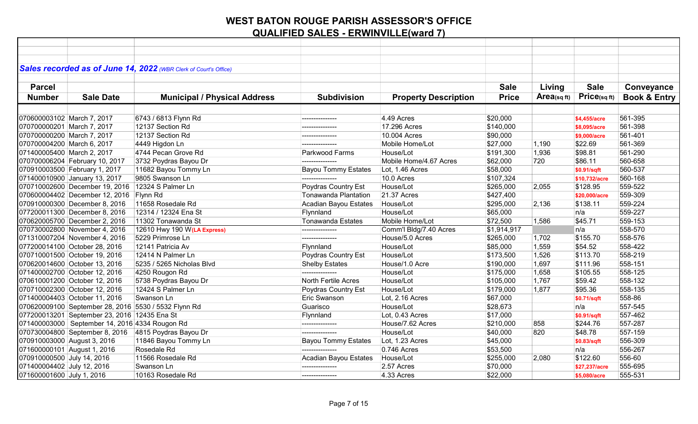|                            |                                                | Sales recorded as of June 14, 2022 (WBR Clerk of Court's Office) |                             |                             |              |                |                   |                         |
|----------------------------|------------------------------------------------|------------------------------------------------------------------|-----------------------------|-----------------------------|--------------|----------------|-------------------|-------------------------|
|                            |                                                |                                                                  |                             |                             |              |                |                   |                         |
| <b>Parcel</b>              |                                                |                                                                  |                             |                             | <b>Sale</b>  | Living         | <b>Sale</b>       | Conveyance              |
| <b>Number</b>              | <b>Sale Date</b>                               | <b>Municipal / Physical Address</b>                              | <b>Subdivision</b>          | <b>Property Description</b> | <b>Price</b> | $Area$ (sq ft) | $Price_{(sq ft)}$ | <b>Book &amp; Entry</b> |
|                            |                                                |                                                                  |                             |                             |              |                |                   |                         |
| 070600003102 March 7, 2017 |                                                | 6743 / 6813 Flynn Rd                                             | ---------------             | 4.49 Acres                  | \$20,000     |                | \$4,455/acre      | 561-395                 |
| 070700000201 March 7, 2017 |                                                | 12137 Section Rd                                                 |                             | 17.296 Acres                | \$140,000    |                | \$8,095/acre      | 561-398                 |
| 070700000200 March 7, 2017 |                                                | 12137 Section Rd                                                 | ---------------             | 10.004 Acres                | \$90,000     |                | \$9,000/acre      | 561-401                 |
| 070700004200 March 6, 2017 |                                                | 4449 Higdon Ln                                                   |                             | Mobile Home/Lot             | \$27,000     | 1,190          | \$22.69           | 561-369                 |
| 071400005400 March 2, 2017 |                                                | 4744 Pecan Grove Rd                                              | Parkwood Farms              | House/Lot                   | \$191,300    | 1,936          | \$98.81           | 561-290                 |
|                            | 070700006204 February 10, 2017                 | 3732 Poydras Bayou Dr                                            | ---------------             | Mobile Home/4.67 Acres      | \$62,000     | 720            | \$86.11           | 560-658                 |
|                            | 070910003500 February 1, 2017                  | 11682 Bayou Tommy Ln                                             | <b>Bayou Tommy Estates</b>  | Lot, 1.46 Acres             | \$58,000     |                | \$0.91/sqft       | 560-537                 |
|                            | 071400010900 January 13, 2017                  | 9805 Swanson Ln                                                  | ---------------             | 10.0 Acres                  | \$107,324    |                | \$10,732/acre     | 560-168                 |
|                            | 070710002600 December 19, 2016                 | 12324 S Palmer Ln                                                | Poydras Country Est         | House/Lot                   | \$265,000    | 2,055          | \$128.95          | 559-522                 |
|                            | 070600004402 December 12, 2016 Flynn Rd        |                                                                  | <b>Tonawanda Plantation</b> | 21.37 Acres                 | \$427,400    |                | \$20,000/acre     | 559-309                 |
|                            | 070910000300 December 8, 2016                  | 11658 Rosedale Rd                                                | Acadian Bayou Estates       | House/Lot                   | \$295,000    | 2,136          | \$138.11          | 559-224                 |
|                            | 077200011300 December 8, 2016                  | 12314 / 12324 Ena St                                             | Flynnland                   | House/Lot                   | \$65,000     |                | n/a               | 559-227                 |
|                            | 070620005700 December 2, 2016                  | 11302 Tonawanda St                                               | Tonawanda Estates           | Mobile Home/Lot             | \$72,500     | 1,586          | \$45.71           | 559-153                 |
|                            | 070730002800 November 4, 2016                  | 12610 Hwy 190 W(LA Express)                                      | ---------------             | Comm'l Bldg/7.40 Acres      | \$1,914,917  |                | n/a               | 558-570                 |
|                            | 071310007204 November 4, 2016                  | 5229 Primrose Ln                                                 | ---------------             | House/5.0 Acres             | \$265,000    | 1,702          | \$155.70          | 558-576                 |
|                            | 077200014100 October 28, 2016                  | 12141 Patricia Av                                                | Flynnland                   | House/Lot                   | \$85,000     | 1,559          | \$54.52           | 558-422                 |
|                            | 070710001500 October 19, 2016                  | 12414 N Palmer Ln                                                | Poydras Country Est         | House/Lot                   | \$173,500    | 1,526          | \$113.70          | 558-219                 |
|                            | 070620014600 October 13, 2016                  | 5235 / 5265 Nicholas Blvd                                        | <b>Shelby Estates</b>       | House/1.0 Acre              | \$190,000    | 1,697          | \$111.96          | 558-151                 |
|                            | 071400002700 October 12, 2016                  | 4250 Rougon Rd                                                   |                             | House/Lot                   | \$175,000    | 1,658          | \$105.55          | 558-125                 |
|                            | 070610001200 October 12, 2016                  | 5738 Poydras Bayou Dr                                            | <b>North Fertile Acres</b>  | House/Lot                   | \$105,000    | 1,767          | \$59.42           | 558-132                 |
|                            | 070710002300 October 12, 2016                  | 12424 S Palmer Ln                                                | Poydras Country Est         | House/Lot                   | \$179,000    | 1,877          | \$95.36           | 558-135                 |
|                            | 071400004403 October 11, 2016                  | Swanson Ln                                                       | <b>Eric Swanson</b>         | Lot, 2.16 Acres             | \$67,000     |                | \$0.71/sqft       | 558-86                  |
|                            |                                                | 070620009100 September 28, 2016 5530 / 5532 Flynn Rd             | Guarisco                    | House/Lot                   | \$28,673     |                | n/a               | 557-545                 |
|                            | 077200013201 September 23, 2016 12435 Ena St   |                                                                  | Flynnland                   | Lot, 0.43 Acres             | \$17,000     |                | \$0.91/sqft       | 557-462                 |
|                            | 071400003000 September 14, 2016 4334 Rougon Rd |                                                                  | ---------------             | House/7.62 Acres            | \$210,000    | 858            | \$244.76          | 557-287                 |
|                            |                                                | 070730004800 September 8, 2016 4815 Poydras Bayou Dr             | ---------------             | House/Lot                   | \$40,000     | 820            | \$48.78           | 557-159                 |
|                            | 070910003000 August 3, 2016                    | 11846 Bayou Tommy Ln                                             | <b>Bayou Tommy Estates</b>  | Lot, 1.23 Acres             | \$45,000     |                | \$0.83/sqft       | 556-309                 |
|                            | 071600000101 August 1, 2016                    | Rosedale Rd                                                      |                             | 0.746 Acres                 | \$53,500     |                | n/a               | 556-267                 |
| 070910000500 July 14, 2016 |                                                | 11566 Rosedale Rd                                                | Acadian Bayou Estates       | House/Lot                   | \$255,000    | 2,080          | \$122.60          | 556-60                  |
| 071400004402 July 12, 2016 |                                                | Swanson Ln                                                       | ---------------             | 2.57 Acres                  | \$70,000     |                | \$27,237/acre     | 555-695                 |
| 071600001600 July 1, 2016  |                                                | 10163 Rosedale Rd                                                | ---------------             | 4.33 Acres                  | \$22,000     |                | \$5,080/acre      | 555-531                 |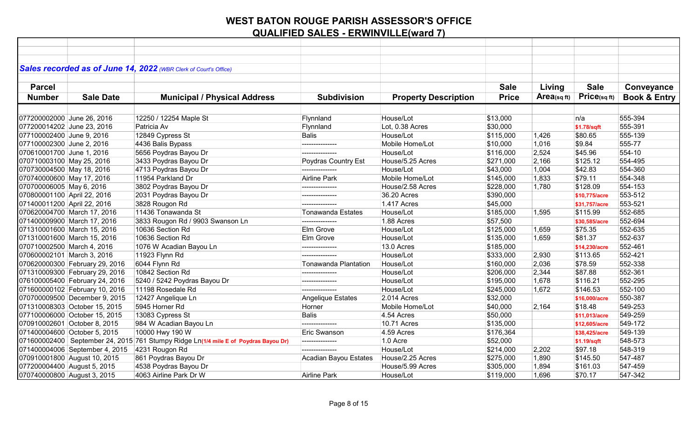|                             |                                | Sales recorded as of June 14, 2022 (WBR Clerk of Court's Office)                    |                          |                             |              |                         |               |                         |
|-----------------------------|--------------------------------|-------------------------------------------------------------------------------------|--------------------------|-----------------------------|--------------|-------------------------|---------------|-------------------------|
| <b>Parcel</b>               |                                |                                                                                     |                          |                             | <b>Sale</b>  | Living                  | <b>Sale</b>   | Conveyance              |
|                             |                                |                                                                                     |                          |                             |              |                         |               |                         |
| <b>Number</b>               | <b>Sale Date</b>               | <b>Municipal / Physical Address</b>                                                 | <b>Subdivision</b>       | <b>Property Description</b> | <b>Price</b> | Area <sub>(sq ft)</sub> | Price(sqft)   | <b>Book &amp; Entry</b> |
|                             |                                |                                                                                     |                          |                             |              |                         |               |                         |
| 077200002000 June 26, 2016  |                                | 12250 / 12254 Maple St                                                              | Flynnland                | House/Lot                   | \$13,000     |                         | n/a           | 555-394                 |
| 077200014202 June 23, 2016  |                                | Patricia Av                                                                         | Flynnland                | Lot, 0.38 Acres             | \$30,000     |                         | \$1.78/sqft   | 555-391                 |
| 077100002400 June 9, 2016   |                                | 12849 Cypress St                                                                    | <b>Balis</b>             | House/Lot                   | \$115,000    | 1,426                   | \$80.65       | 555-139                 |
| 077100002300 June 2, 2016   |                                | 4436 Balis Bypass                                                                   |                          | Mobile Home/Lot             | \$10,000     | 1,016                   | \$9.84        | 555-77                  |
| 070610001700 June 1, 2016   |                                | 5656 Poydras Bayou Dr                                                               | ---------------          | House/Lot                   | \$116,000    | 2,524                   | \$45.96       | 554-10                  |
| 070710003100 May 25, 2016   |                                | 3433 Poydras Bayou Dr                                                               | Poydras Country Est      | House/5.25 Acres            | \$271,000    | 2,166                   | \$125.12      | 554-495                 |
| 070730004500 May 18, 2016   |                                | 4713 Poydras Bayou Dr                                                               |                          | House/Lot                   | \$43,000     | 1,004                   | \$42.83       | 554-360                 |
| 070740000600 May 17, 2016   |                                | 11954 Parkland Dr                                                                   | Airline Park             | Mobile Home/Lot             | \$145,000    | 1,833                   | \$79.11       | 554-348                 |
| 070700006005 May 6, 2016    |                                | 3802 Poydras Bayou Dr                                                               | ---------------          | House/2.58 Acres            | \$228,000    | 1,780                   | \$128.09      | 554-153                 |
| 070800001100 April 22, 2016 |                                | 2031 Poydras Bayou Dr                                                               | ---------------          | 36.20 Acres                 | \$390,000    |                         | \$10,775/acre | 553-512                 |
| 071400011200 April 22, 2016 |                                | 3828 Rougon Rd                                                                      | ---------------          | 1.417 Acres                 | \$45,000     |                         | \$31,757/acre | 553-521                 |
|                             | 070620004700 March 17, 2016    | 11436 Tonawanda St                                                                  | <b>Tonawanda Estates</b> | House/Lot                   | \$185,000    | 1,595                   | \$115.99      | 552-685                 |
|                             | 071400009900 March 17, 2016    | 3833 Rougon Rd / 9903 Swanson Ln                                                    | ---------------          | 1.88 Acres                  | \$57,500     |                         | \$30,585/acre | 552-694                 |
|                             | 071310001600 March 15, 2016    | 10636 Section Rd                                                                    | Elm Grove                | House/Lot                   | \$125,000    | 1,659                   | \$75.35       | 552-635                 |
|                             | 071310001600 March 15, 2016    | 10636 Section Rd                                                                    | Elm Grove                | House/Lot                   | \$135,000    | 1,659                   | \$81.37       | 552-637                 |
| 070710002500 March 4, 2016  |                                | 1076 W Acadian Bayou Ln                                                             |                          | 13.0 Acres                  | \$185,000    |                         | \$14,230/acre | 552-461                 |
| 070600002101 March 3, 2016  |                                | 11923 Flynn Rd                                                                      |                          | House/Lot                   | \$333,000    | 2,930                   | \$113.65      | 552-421                 |
|                             | 070620000300 February 29, 2016 | 6044 Flynn Rd                                                                       | Tonawanda Plantation     | House/Lot                   | \$160,000    | 2,036                   | \$78.59       | 552-338                 |
|                             | 071310009300 February 29, 2016 | 10842 Section Rd                                                                    |                          | House/Lot                   | \$206,000    | 2,344                   | \$87.88       | 552-361                 |
|                             | 076100005400 February 24, 2016 | 5240 / 5242 Poydras Bayou Dr                                                        | ---------------          | House/Lot                   | \$195,000    | 1,678                   | \$116.21      | 552-295                 |
|                             | 071600000102 February 10, 2016 | 11198 Rosedale Rd                                                                   | ---------------          | House/Lot                   | \$245,000    | 1,672                   | \$146.53      | 552-100                 |
|                             | 070700009500 December 9, 2015  | 12427 Angelique Ln                                                                  | Angelique Estates        | 2.014 Acres                 | \$32,000     |                         | \$16,000/acre | 550-387                 |
|                             | 071310008303 October 15, 2015  | 5945 Horner Rd                                                                      | Horner                   | Mobile Home/Lot             | \$40,000     | 2,164                   | \$18.48       | 549-253                 |
|                             | 077100006000 October 15, 2015  | 13083 Cypress St                                                                    | <b>Balis</b>             | 4.54 Acres                  | \$50,000     |                         | \$11,013/acre | 549-259                 |
|                             | 070910002601 October 8, 2015   | 984 W Acadian Bayou Ln                                                              | ---------------          | 10.71 Acres                 | \$135,000    |                         | \$12,605/acre | 549-172                 |
|                             | 071400004600 October 5, 2015   | 10000 Hwy 190 W                                                                     | Eric Swanson             | 4.59 Acres                  | \$176,364    |                         | \$38,425/acre | 549-139                 |
|                             |                                | 071600002400 September 24, 2015 761 Stumpy Ridge Ln(1/4 mile E of Poydras Bayou Dr) | ---------------          | 1.0 Acre                    | \$52,000     |                         | \$1.19/sqft   | 548-573                 |
|                             | 071400004006 September 4, 2015 | 4231 Rougon Rd                                                                      |                          | House/Lot                   | \$214,000    | 2,202                   | \$97.18       | 548-319                 |
|                             | 070910001800 August 10, 2015   | 861 Poydras Bayou Dr                                                                | Acadian Bayou Estates    | House/2.25 Acres            | \$275,000    | 1,890                   | \$145.50      | 547-487                 |
|                             | 077200004400 August 5, 2015    | 4538 Poydras Bayou Dr                                                               |                          | House/5.99 Acres            | \$305,000    | 1,894                   | \$161.03      | 547-459                 |
|                             | 070740000800 August 3, 2015    | 4063 Airline Park Dr W                                                              | Airline Park             | House/Lot                   | \$119,000    | 1,696                   | \$70.17       | 547-342                 |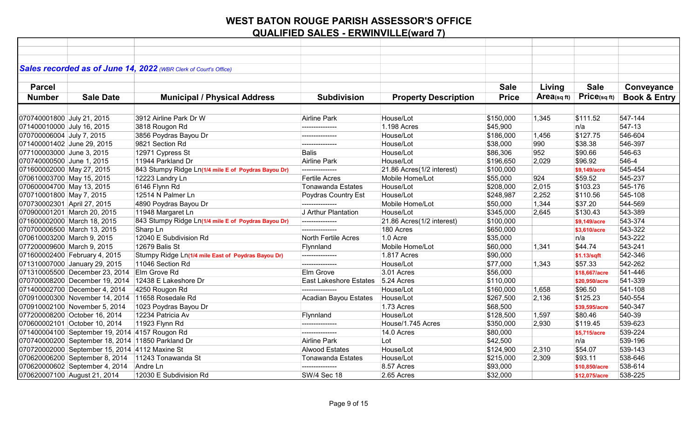|                             |                                                   | Sales recorded as of June 14, 2022 (WBR Clerk of Court's Office) |                               |                             |              |                         |               |                         |
|-----------------------------|---------------------------------------------------|------------------------------------------------------------------|-------------------------------|-----------------------------|--------------|-------------------------|---------------|-------------------------|
|                             |                                                   |                                                                  |                               |                             |              |                         |               |                         |
| <b>Parcel</b>               |                                                   |                                                                  |                               |                             | <b>Sale</b>  | Living                  | <b>Sale</b>   | Conveyance              |
| <b>Number</b>               | <b>Sale Date</b>                                  | <b>Municipal / Physical Address</b>                              | <b>Subdivision</b>            | <b>Property Description</b> | <b>Price</b> | Area <sub>(sq ft)</sub> | Price(sqft)   | <b>Book &amp; Entry</b> |
|                             |                                                   |                                                                  |                               |                             |              |                         |               |                         |
| 070740001800 July 21, 2015  |                                                   | 3912 Airline Park Dr W                                           | Airline Park                  | House/Lot                   | \$150,000    | 1,345                   | \$111.52      | 547-144                 |
| 071400010000 July 16, 2015  |                                                   | 3818 Rougon Rd                                                   | ---------------               | 1.198 Acres                 | \$45,900     |                         | n/a           | 547-13                  |
| 070700006004 July 7, 2015   |                                                   | 3856 Poydras Bayou Dr                                            | ---------------               | House/Lot                   | \$186,000    | 1,456                   | \$127.75      | 546-604                 |
| 071400001402 June 29, 2015  |                                                   | 9821 Section Rd                                                  |                               | House/Lot                   | \$38,000     | 990                     | \$38.38       | 546-397                 |
| 077100003000 June 3, 2015   |                                                   | 12971 Cypress St                                                 | <b>Balis</b>                  | House/Lot                   | \$86,306     | 952                     | \$90.66       | 546-63                  |
| 070740000500 June 1, 2015   |                                                   | 11944 Parkland Dr                                                | Airline Park                  | House/Lot                   | \$196,650    | 2,029                   | \$96.92       | 546-4                   |
| 071600002000 May 27, 2015   |                                                   | 843 Stumpy Ridge Ln(1/4 mile E of Poydras Bayou Dr)              | ---------------               | 21.86 Acres(1/2 interest)   | \$100,000    |                         | \$9,149/acre  | 545-454                 |
| 070610003700 May 15, 2015   |                                                   | 12223 Landry Ln                                                  | <b>Fertile Acres</b>          | Mobile Home/Lot             | \$55,000     | 924                     | \$59.52       | 545-237                 |
| 070600004700 May 13, 2015   |                                                   | 6146 Flynn Rd                                                    | <b>Tonawanda Estates</b>      | House/Lot                   | \$208,000    | 2,015                   | \$103.23      | 545-176                 |
| 070710001800 May 7, 2015    |                                                   | 12514 N Palmer Ln                                                | Poydras Country Est           | House/Lot                   | \$248,987    | 2,252                   | \$110.56      | 545-108                 |
| 070730002301 April 27, 2015 |                                                   | 4890 Poydras Bayou Dr                                            | ---------------               | Mobile Home/Lot             | \$50,000     | 1,344                   | \$37.20       | 544-569                 |
|                             | 070900001201 March 20, 2015                       | 11948 Margaret Ln                                                | J Arthur Plantation           | House/Lot                   | \$345,000    | 2,645                   | \$130.43      | 543-389                 |
|                             | 071600002000 March 18, 2015                       | 843 Stumpy Ridge Ln(1/4 mile E of Poydras Bayou Dr)              | ---------------               | 21.86 Acres(1/2 interest)   | \$100,000    |                         | \$9,149/acre  | 543-374                 |
|                             | 070700006500 March 13, 2015                       | Sharp Ln                                                         | ---------------               | 180 Acres                   | \$650,000    |                         | \$3,610/acre  | 543-322                 |
|                             | 070610003200 March 9, 2015                        | 12040 E Subdivision Rd                                           | <b>North Fertile Acres</b>    | 1.0 Acre                    | \$35,000     |                         | n/a           | 543-222                 |
|                             | 077200009600 March 9, 2015                        | 12679 Balis St                                                   | Flynnland                     | Mobile Home/Lot             | \$60,000     | 1,341                   | \$44.74       | 543-241                 |
|                             | 071600002400 February 4, 2015                     | Stumpy Ridge Ln(1/4 mile East of Poydras Bayou Dr)               | ---------------               | 1.817 Acres                 | \$90,000     |                         | \$1.13/sqft   | 542-346                 |
|                             | 071310007000 January 29, 2015                     | 11046 Section Rd                                                 | ---------------               | House/Lot                   | \$77,000     | 1,343                   | \$57.33       | 542-262                 |
|                             | 071310005500 December 23, 2014                    | Elm Grove Rd                                                     | Elm Grove                     | 3.01 Acres                  | \$56,000     |                         | \$18,667/acre | 541-446                 |
|                             |                                                   | 070700008200 December 19, 2014 12438 E Lakeshore Dr              | <b>East Lakeshore Estates</b> | 5.24 Acres                  | \$110,000    |                         | \$20,950/acre | 541-339                 |
|                             | 071400002700 December 4, 2014                     | 4250 Rougon Rd                                                   |                               | House/Lot                   | \$160,000    | 1,658                   | \$96.50       | 541-108                 |
|                             | 070910000300 November 14, 2014 11658 Rosedale Rd  |                                                                  | Acadian Bayou Estates         | House/Lot                   | \$267,500    | 2,136                   | \$125.23      | 540-554                 |
|                             | 070910002100 November 5, 2014                     | 1023 Poydras Bayou Dr                                            |                               | 1.73 Acres                  | \$68,500     |                         | \$39,595/acre | 540-347                 |
|                             | 077200008200 October 16, 2014                     | 12234 Patricia Av                                                | Flynnland                     | House/Lot                   | \$128,500    | 1,597                   | \$80.46       | 540-39                  |
|                             | 070600002101 October 10, 2014                     | 11923 Flynn Rd                                                   | ---------------               | House/1.745 Acres           | \$350,000    | 2,930                   | \$119.45      | 539-623                 |
|                             | 071400004100 September 19, 2014 4157 Rougon Rd    |                                                                  | ---------------               | 14.0 Acres                  | \$80,000     |                         | \$5,715/acre  | 539-224                 |
|                             | 070740000200 September 18, 2014 11850 Parkland Dr |                                                                  | <b>Airline Park</b>           | Lot                         | \$42,500     |                         | n/a           | 539-196                 |
|                             | 070720002000 September 15, 2014 4112 Maxine St    |                                                                  | <b>Alwood Estates</b>         | House/Lot                   | \$124,900    | 2,310                   | \$54.07       | 539-143                 |
|                             | 070620006200 September 8, 2014                    | 11243 Tonawanda St                                               | <b>Tonawanda Estates</b>      | House/Lot                   | \$215,000    | 2,309                   | \$93.11       | 538-646                 |
|                             | 070620000602 September 4, 2014                    | Andre Ln                                                         | ---------------               | 8.57 Acres                  | \$93,000     |                         | \$10,850/acre | 538-614                 |
|                             | 070620007100 August 21, 2014                      | 12030 E Subdivision Rd                                           | <b>SW/4 Sec 18</b>            | 2.65 Acres                  | \$32,000     |                         | \$12,075/acre | 538-225                 |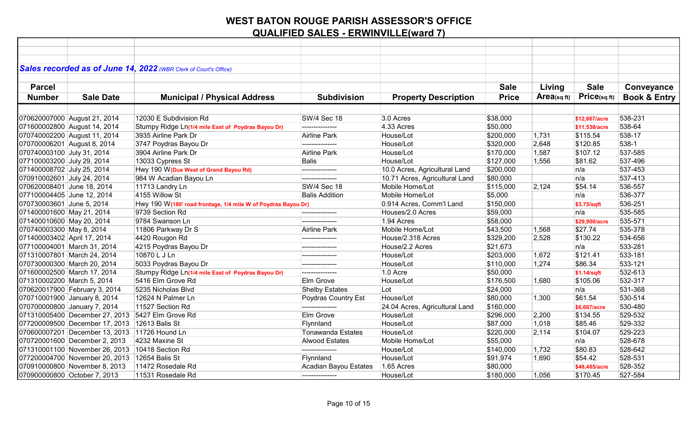| Sales recorded as of June 14, 2022 (WBR Clerk of Court's Office) |                                                               |                          |                                |                   |            |                   |                         |
|------------------------------------------------------------------|---------------------------------------------------------------|--------------------------|--------------------------------|-------------------|------------|-------------------|-------------------------|
|                                                                  |                                                               |                          |                                |                   |            |                   |                         |
| <b>Parcel</b>                                                    |                                                               |                          |                                | <b>Sale</b>       | Living     | <b>Sale</b>       | Conveyance              |
| <b>Sale Date</b><br><b>Number</b>                                | <b>Municipal / Physical Address</b>                           | <b>Subdivision</b>       | <b>Property Description</b>    | <b>Price</b>      | Area(sqft) | $Price_{(sq ft)}$ | <b>Book &amp; Entry</b> |
|                                                                  |                                                               |                          |                                |                   |            |                   |                         |
| 070620007000 August 21, 2014                                     | 12030 E Subdivision Rd                                        | <b>SW/4 Sec 18</b>       | 3.0 Acres                      | \$38,000          |            | \$12,667/acre     | 538-231                 |
| 071600002800 August 14, 2014                                     | Stumpy Ridge Ln(1/4 mile East of Poydras Bayou Dr)            | ---------------          | 4.33 Acres                     | \$50,000          |            | \$11,538/acre     | 538-64                  |
| 070740002200 August 11, 2014                                     | 3935 Airline Park Dr                                          | Airline Park             | House/Lot                      | \$200,000         | 1,731      | \$115.54          | 538-17                  |
| 070700006201 August 8, 2014                                      | 3747 Poydras Bayou Dr                                         |                          | House/Lot                      | \$320,000         | 2,648      | \$120.85          | 538-1                   |
| 070740003100 July 31, 2014                                       | 3904 Airline Park Dr                                          | Airline Park             | House/Lot                      | \$170,000         | 1,587      | \$107.12          | 537-585                 |
| 077100003200 July 29, 2014                                       | 13033 Cypress St                                              | <b>Balis</b>             | House/Lot                      | $\sqrt{$127,000}$ | 1,556      | \$81.62           | 537-496                 |
| 071400008702 July 25, 2014                                       | Hwy 190 W (Due West of Grand Bayou Rd)                        | ---------------          | 10.0 Acres, Agricultural Land  | \$200,000         |            | n/a               | 537-453                 |
| 070910002601 July 24, 2014                                       | 984 W Acadian Bayou Ln                                        |                          | 10.71 Acres, Agricultural Land | \$80,000          |            | n/a               | 537-413                 |
| 070620008401 June 18, 2014                                       | 11713 Landry Ln                                               | <b>SW/4 Sec 18</b>       | Mobile Home/Lot                | \$115,000         | 2,124      | \$54.14           | 536-557                 |
| 077100004405 June 12, 2014                                       | 4155 Willow St                                                | <b>Balis Addition</b>    | Mobile Home/Lot                | \$5,000           |            | n/a               | 536-377                 |
| 070730003601 June 5, 2014                                        | Hwy 190 W(180' road frontage, 1/4 mile W of Poydras Bayou Dr) |                          | 0.914 Acres, Comm'l Land       | \$150,000         |            | \$3.75/sqft       | 536-251                 |
| 071400001600 May 21, 2014                                        | 9739 Section Rd                                               | ---------------          | Houses/2.0 Acres               | \$59,000          |            | n/a               | 535-585                 |
| 071400010600 May 20, 2014                                        | 9784 Swanson Ln                                               | ---------------          | 1.94 Acres                     | \$58,000          |            | \$29,900/acre     | 535-571                 |
| 070740003300 May 8, 2014                                         | 11806 Parkway Dr S                                            | Airline Park             | Mobile Home/Lot                | \$43,500          | 1,568      | \$27.74           | 535-378                 |
| 071400003402 April 17, 2014                                      | 4420 Rougon Rd                                                | ---------------          | House/2.318 Acres              | \$329,200         | 2,528      | \$130.22          | 534-656                 |
| 077100004001 March 31, 2014                                      | 4215 Poydras Bayou Dr                                         |                          | House/2.2 Acres                | \$21,673          |            | n/a               | 533-281                 |
| 071310007801 March 24, 2014                                      | 10870 L J Ln                                                  | ---------------          | House/Lot                      | \$203,000         | 1,672      | \$121.41          | 533-181                 |
| 070730000300 March 20, 2014                                      | 5033 Poydras Bayou Dr                                         | ---------------          | House/Lot                      | \$110,000         | 1,274      | \$86.34           | 533-121                 |
| 071600002500 March 17, 2014                                      | Stumpy Ridge Ln(1/4 mile East of Poydras Bayou Dr)            | ---------------          | 1.0 Acre                       | \$50,000          |            | \$1.14/sqft       | 532-613                 |
| 071310002200 March 5, 2014                                       | 5416 Elm Grove Rd                                             | Elm Grove                | House/Lot                      | \$176,500         | 1,680      | \$105.06          | 532-317                 |
| 070620017900 February 3, 2014                                    | 5235 Nicholas Blvd                                            | <b>Shelby Estates</b>    | Lot                            | \$24,000          |            | n/a               | 531-368                 |
| 070710001900 January 8, 2014                                     | 12624 N Palmer Ln                                             | Poydras Country Est      | House/Lot                      | \$80,000          | 1,300      | \$61.54           | 530-514                 |
| 070700000800 January 7, 2014                                     | 11527 Section Rd                                              | ---------------          | 24.04 Acres, Agricultural Land | \$160,000         |            | \$6,667/acre      | 530-480                 |
| 071310005400 December 27, 2013 5427 Elm Grove Rd                 |                                                               | Elm Grove                | House/Lot                      | \$296,000         | 2,200      | \$134.55          | 529-532                 |
| 077200009500 December 17, 2013 12613 Balis St                    |                                                               | Flynnland                | House/Lot                      | \$87,000          | 1,018      | \$85.46           | 529-332                 |
| 070600007201 December 13, 2013 11726 Hound Ln                    |                                                               | <b>Tonawanda Estates</b> | House/Lot                      | \$220,000         | 2,114      | \$104.07          | 529-223                 |
| 070720001600 December 2, 2013                                    | 4232 Maxine St                                                | <b>Alwood Estates</b>    | Mobile Home/Lot                | \$55,000          |            | n/a               | 528-678                 |
| 071310001100 November 26, 2013                                   | 10418 Section Rd                                              | ---------------          | House/Lot                      | \$140,000         | 1,732      | \$80.83           | 528-642                 |
| 077200004700 November 20, 2013 12654 Balis St                    |                                                               | Flynnland                | House/Lot                      | \$91,974          | 1,690      | \$54.42           | 528-531                 |
| 070910000800 November 8, 2013                                    | 11472 Rosedale Rd                                             | Acadian Bayou Estates    | 1.65 Acres                     | \$80,000          |            | \$48,485/acre     | 528-352                 |
| 070900000800 October 7, 2013                                     | 11531 Rosedale Rd                                             | ---------------          | House/Lot                      | \$180,000         | 1,056      | \$170.45          | 527-584                 |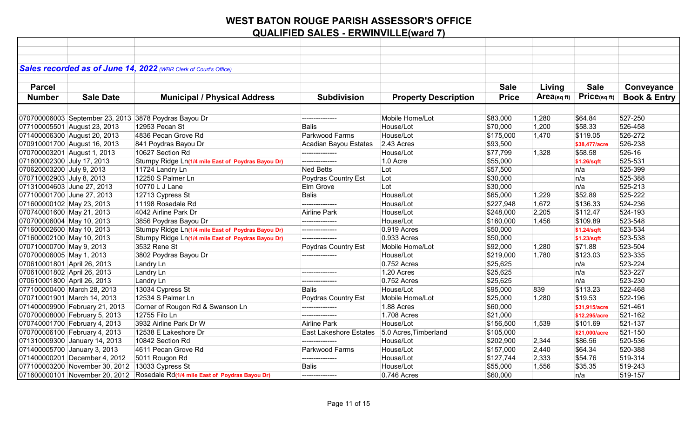|                             |                                                 | Sales recorded as of June 14, 2022 (WBR Clerk of Court's Office)              |                        |                             |              |            |                   |                         |
|-----------------------------|-------------------------------------------------|-------------------------------------------------------------------------------|------------------------|-----------------------------|--------------|------------|-------------------|-------------------------|
|                             |                                                 |                                                                               |                        |                             |              |            |                   |                         |
| <b>Parcel</b>               |                                                 |                                                                               |                        |                             | <b>Sale</b>  | Living     | <b>Sale</b>       | Conveyance              |
| <b>Number</b>               | <b>Sale Date</b>                                | <b>Municipal / Physical Address</b>                                           | <b>Subdivision</b>     | <b>Property Description</b> | <b>Price</b> | Area(sqft) | $Price_{(sq ft)}$ | <b>Book &amp; Entry</b> |
|                             |                                                 |                                                                               |                        |                             |              |            |                   |                         |
|                             | 070700006003 September 23, 2013                 | 3878 Poydras Bayou Dr                                                         | ---------------        | Mobile Home/Lot             | \$83,000     | 1,280      | \$64.84           | 527-250                 |
|                             | 077100005501 August 23, 2013                    | 12953 Pecan St                                                                | <b>Balis</b>           | House/Lot                   | \$70,000     | 1,200      | \$58.33           | 526-458                 |
|                             | 071400006300 August 20, 2013                    | 4836 Pecan Grove Rd                                                           | Parkwood Farms         | House/Lot                   | \$175,000    | 1,470      | \$119.05          | 526-272                 |
|                             | 070910001700 August 16, 2013                    | 841 Poydras Bayou Dr                                                          | Acadian Bayou Estates  | 2.43 Acres                  | \$93,500     |            | \$38,477/acre     | 526-238                 |
|                             | 070700003201 August 1, 2013                     | 10627 Section Rd                                                              | ---------------        | House/Lot                   | \$77,799     | 1,328      | \$58.58           | 526-16                  |
| 071600002300 July 17, 2013  |                                                 | Stumpy Ridge Ln(1/4 mile East of Poydras Bayou Dr)                            | ---------------        | 1.0 Acre                    | \$55,000     |            | \$1.26/sqft       | 525-531                 |
| 070620003200 July 9, 2013   |                                                 | 11724 Landry Ln                                                               | <b>Ned Betts</b>       | Lot                         | \$57,500     |            | n/a               | 525-399                 |
| 070710002903 July 8, 2013   |                                                 | 12250 S Palmer Ln                                                             | Poydras Country Est    | Lot                         | \$30,000     |            | n/a               | 525-388                 |
| 071310004603 June 27, 2013  |                                                 | 10770 L J Lane                                                                | Elm Grove              | Lot                         | \$30,000     |            | n/a               | 525-213                 |
| 077100001700 June 27, 2013  |                                                 | 12713 Cypress St                                                              | <b>Balis</b>           | House/Lot                   | \$65,000     | 1,229      | \$52.89           | 525-222                 |
| 071600000102 May 23, 2013   |                                                 | 11198 Rosedale Rd                                                             | ---------------        | House/Lot                   | \$227,948    | 1,672      | \$136.33          | 524-236                 |
| 070740001600 May 21, 2013   |                                                 | 4042 Airline Park Dr                                                          | Airline Park           | House/Lot                   | \$248,000    | 2,205      | \$112.47          | 524-193                 |
| 070700006004 May 10, 2013   |                                                 | 3856 Poydras Bayou Dr                                                         | ---------------        | House/Lot                   | \$160,000    | 1,456      | \$109.89          | 523-548                 |
| 071600002600 May 10, 2013   |                                                 | Stumpy Ridge Ln(1/4 mile East of Poydras Bayou Dr)                            | ---------------        | 0.919 Acres                 | \$50,000     |            | \$1.24/sqft       | 523-534                 |
| 071600002100 May 10, 2013   |                                                 | Stumpy Ridge Ln(1/4 mile East of Poydras Bayou Dr)                            | ---------------        | 0.933 Acres                 | \$50,000     |            | \$1.23/sqft       | 523-538                 |
| 070710000700 May 9, 2013    |                                                 | 3532 Rene St                                                                  | Poydras Country Est    | Mobile Home/Lot             | \$92,000     | 1,280      | \$71.88           | 523-504                 |
| 070700006005 May 1, 2013    |                                                 | 3802 Poydras Bayou Dr                                                         | ---------------        | House/Lot                   | \$219,000    | 1,780      | \$123.03          | 523-335                 |
| 070610001801 April 26, 2013 |                                                 | Landry Ln                                                                     |                        | 0.752 Acres                 | \$25,625     |            | n/a               | 523-224                 |
| 070610001802 April 26, 2013 |                                                 | Landry Ln                                                                     | ---------------        | 1.20 Acres                  | \$25,625     |            | n/a               | 523-227                 |
| 070610001800 April 26, 2013 |                                                 | Landry Ln                                                                     |                        | 0.752 Acres                 | \$25,625     |            | n/a               | 523-230                 |
|                             | 077100000400 March 28, 2013                     | 13034 Cypress St                                                              | <b>Balis</b>           | House/Lot                   | \$95,000     | 839        | \$113.23          | 522-468                 |
|                             | 070710001901 March 14, 2013                     | 12534 S Palmer Ln                                                             | Poydras Country Est    | Mobile Home/Lot             | \$25,000     | 1,280      | \$19.53           | 522-196                 |
|                             | 071400009900 February 21, 2013                  | Corner of Rougon Rd & Swanson Ln                                              | ---------------        | 1.88 Acres                  | \$60,000     |            | \$31,915/acre     | 521-461                 |
|                             | 070700008000 February 5, 2013                   | 12755 Filo Ln                                                                 | ---------------        | 1.708 Acres                 | \$21,000     |            | \$12,295/acre     | 521-162                 |
|                             | 070740001700 February 4, 2013                   | 3932 Airline Park Dr W                                                        | <b>Airline Park</b>    | House/Lot                   | \$156,500    | 1,539      | \$101.69          | 521-137                 |
|                             | 070700006100 February 4, 2013                   | 12538 E Lakeshore Dr                                                          | East Lakeshore Estates | 5.0 Acres, Timberland       | \$105,000    |            | \$21,000/acre     | 521-150                 |
|                             | 071310009300 January 14, 2013                   | 10842 Section Rd                                                              |                        | House/Lot                   | \$202,900    | 2,344      | \$86.56           | 520-536                 |
|                             | 071400005700 January 3, 2013                    | 4611 Pecan Grove Rd                                                           | Parkwood Farms         | House/Lot                   | \$157,000    | 2,440      | \$64.34           | 520-388                 |
|                             | 071400000201 December 4, 2012                   | 5011 Rougon Rd                                                                |                        | House/Lot                   | \$127,744    | 2,333      | \$54.76           | 519-314                 |
|                             | 077100003200 November 30, 2012 13033 Cypress St |                                                                               | <b>Balis</b>           | House/Lot                   | \$55,000     | 1,556      | \$35.35           | 519-243                 |
|                             |                                                 | 071600000101 November 20, 2012 Rosedale Rd(1/4 mile East of Poydras Bayou Dr) | ---------------        | 0.746 Acres                 | \$60,000     |            | n/a               | 519-157                 |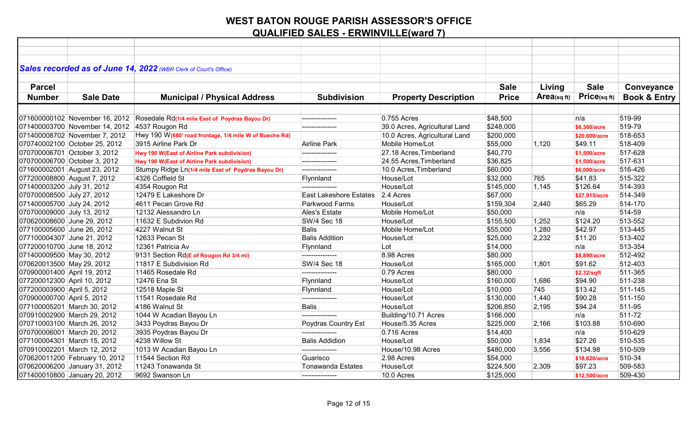|                             |                                               | Sales recorded as of June 14, 2022 (WBR Clerk of Court's Office) |                          |                               |              |            |               |                         |
|-----------------------------|-----------------------------------------------|------------------------------------------------------------------|--------------------------|-------------------------------|--------------|------------|---------------|-------------------------|
|                             |                                               |                                                                  |                          |                               |              |            |               |                         |
| <b>Parcel</b>               |                                               |                                                                  |                          |                               | <b>Sale</b>  | Living     | <b>Sale</b>   | Conveyance              |
| <b>Number</b>               | <b>Sale Date</b>                              | <b>Municipal / Physical Address</b>                              | <b>Subdivision</b>       | <b>Property Description</b>   | <b>Price</b> | Area(sqft) | Price(sqft)   | <b>Book &amp; Entry</b> |
|                             |                                               |                                                                  |                          |                               |              |            |               |                         |
|                             | 071600000102 November 16, 2012                | Rosedale Rd(1/4 mile East of Poydras Bayou Dr)                   | .                        | 0.755 Acres                   | \$48,500     |            | ∣n/a          | 519-99                  |
|                             | 071400003700 November 14, 2012 4537 Rougon Rd |                                                                  | _______________          | 39.0 Acres, Agricultural Land | \$248,000    |            | \$6,360/acre  | 519-79                  |
|                             | 071400008702 November 7, 2012                 | Hwy 190 W(680' road frontage, 1/4 mile W of Bueche Rd)           |                          | 10.0 Acres, Agricultural Land | \$200,000    |            | \$20,000/acre | 518-653                 |
|                             | 070740002100 October 25, 2012                 | 3915 Airline Park Dr                                             | Airline Park             | Mobile Home/Lot               | \$55,000     | 1,120      | \$49.11       | 518-409                 |
|                             | 070700006701 October 3, 2012                  | Hwy 190 W(East of Airline Park subdivision)                      |                          | 27.18 Acres, Timberland       | \$40,770     |            | \$1,500/acre  | 517-628                 |
|                             | 070700006700 October 3, 2012                  | Hwy 190 W(East of Airline Park subdivision)                      | ---------------          | 24.55 Acres, Timberland       | \$36,825     |            | \$1,500/acre  | 517-631                 |
|                             | 071600002001 August 23, 2012                  | Stumpy Ridge Ln(1/4 mile East of Poydras Bayou Dr)               | ---------------          | 10.0 Acres, Timberland        | \$60,000     |            | \$6,000/acre  | 516-426                 |
|                             | 077200008800 August 7, 2012                   | 4326 Coffield St                                                 | Flynnland                | House/Lot                     | \$32,000     | 765        | \$41.83       | 515-322                 |
| 071400003200 July 31, 2012  |                                               | 4354 Rougon Rd                                                   | ---------------          | House/Lot                     | \$145,000    | 1,145      | \$126.64      | 514-393                 |
| 070700008500 July 27, 2012  |                                               | 12479 E Lakeshore Dr                                             | East Lakeshore Estates   | 2.4 Acres                     | \$67,000     |            | \$27,915/acre | 514-349                 |
| 071400005700 July 24, 2012  |                                               | 4611 Pecan Grove Rd                                              | Parkwood Farms           | House/Lot                     | \$159,304    | 2,440      | \$65.29       | 514-170                 |
| 070700009000 July 13, 2012  |                                               | 12132 Alessandro Ln                                              | Ales's Estate            | Mobile Home/Lot               | \$50,000     |            | n/a           | 514-59                  |
| 070620008600 June 29, 2012  |                                               | 11632 E Subdivion Rd                                             | <b>SW/4 Sec 18</b>       | House/Lot                     | \$155,500    | 1,252      | \$124.20      | 513-552                 |
| 077100005600 June 26, 2012  |                                               | 4227 Walnut St                                                   | <b>Balis</b>             | Mobile Home/Lot               | \$55,000     | 1,280      | \$42.97       | 513-445                 |
| 077100004307 June 21, 2012  |                                               | 12633 Pecan St                                                   | <b>Balis Addition</b>    | House/Lot                     | \$25,000     | 2,232      | \$11.20       | 513-402                 |
| 077200010700 June 18, 2012  |                                               | 12361 Patricia Av                                                | Flynnland                | Lot                           | \$14,000     |            | n/a           | 513-354                 |
| 071400009500 May 30, 2012   |                                               | 9131 Section Rd(E of Rougon Rd 3/4 mi)                           | ---------------          | 8.98 Acres                    | \$80,000     |            | \$8,890/acre  | 512-492                 |
| 070620013500 May 29, 2012   |                                               | 11817 E Subdivision Rd                                           | <b>SW/4 Sec 18</b>       | House/Lot                     | \$165,000    | 1,801      | \$91.62       | 512-403                 |
| 070900001400 April 19, 2012 |                                               | 11465 Rosedale Rd                                                | ---------------          | 0.79 Acres                    | \$80,000     |            | \$2.32/sqft   | 511-365                 |
| 077200012300 April 10, 2012 |                                               | 12476 Ena St                                                     | Flynnland                | House/Lot                     | \$160,000    | 1,686      | \$94.90       | 511-238                 |
| 077200003900 April 5, 2012  |                                               | 12518 Maple St                                                   | Flynnland                | House/Lot                     | \$10,000     | 745        | \$13.42       | 511-145                 |
| 070900000700 April 5, 2012  |                                               | 11541 Rosedale Rd                                                | ---------------          | House/Lot                     | \$130,000    | 1,440      | \$90.28       | 511-150                 |
|                             | 077100005201 March 30, 2012                   | 4186 Walnut St                                                   | <b>Balis</b>             | House/Lot                     | \$206,850    | 2,195      | \$94.24       | 511-95                  |
|                             | 070910002900 March 29, 2012                   | 1044 W Acadian Bayou Ln                                          | ---------------          | Building/10.71 Acres          | \$166,000    |            | n/a           | 511-72                  |
|                             | 070710003100 March 26, 2012                   | 3433 Poydras Bayou Dr                                            | Poydras Country Est      | House/5.35 Acres              | \$225,000    | 2,166      | \$103.88      | 510-690                 |
|                             | 070700006001 March 20, 2012                   | 3935 Poydras Bayou Dr                                            | ---------------          | 0.716 Acres                   | \$14,400     |            | n/a           | 510-629                 |
|                             | 077100004301 March 15, 2012                   | 4238 Willow St                                                   | <b>Balis Addidion</b>    | House/Lot                     | \$50,000     | 1,834      | \$27.26       | 510-535                 |
|                             | 070910002201 March 12, 2012                   | 1013 W Acadian Bayou Ln                                          |                          | House/10.98 Acres             | \$480,000    | 3,556      | \$134.98      | 510-509                 |
|                             | 070620011200 February 10, 2012                | 11544 Section Rd                                                 | Guarisco                 | 2.98 Acres                    | \$54,000     |            | \$18,620/acre | 510-34                  |
|                             | 070620006200 January 31, 2012                 | 11243 Tonawanda St                                               | <b>Tonawanda Estates</b> | House/Lot                     | \$224,500    | 2,309      | \$97.23       | 509-583                 |
|                             | 071400010800 January 20, 2012                 | 9692 Swanson Ln                                                  | ---------------          | 10.0 Acres                    | \$125,000    |            | \$12,500/acre | 509-430                 |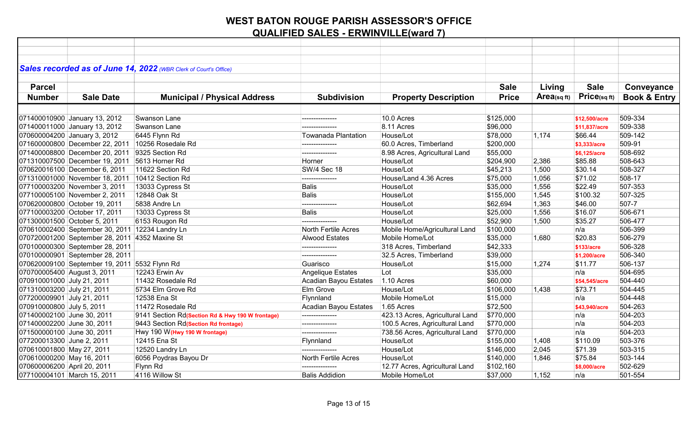| Sales recorded as of June 14, 2022 (WBR Clerk of Court's Office) |                                                  |                       |                                 |              |            |               |                         |
|------------------------------------------------------------------|--------------------------------------------------|-----------------------|---------------------------------|--------------|------------|---------------|-------------------------|
|                                                                  |                                                  |                       |                                 |              |            |               |                         |
| <b>Parcel</b>                                                    |                                                  |                       |                                 | <b>Sale</b>  | Living     | <b>Sale</b>   | Conveyance              |
| <b>Number</b><br><b>Sale Date</b>                                | <b>Municipal / Physical Address</b>              | <b>Subdivision</b>    | <b>Property Description</b>     | <b>Price</b> | Area(sqft) | Price(sqft)   | <b>Book &amp; Entry</b> |
|                                                                  |                                                  |                       |                                 |              |            |               |                         |
| 071400010900 January 13, 2012                                    | <b>Swanson Lane</b>                              |                       | 10.0 Acres                      | \$125,000    |            | \$12,500/acre | 509-334                 |
| 071400011000 January 13, 2012                                    | Swanson Lane                                     |                       | 8.11 Acres                      | \$96,000     |            | \$11,837/acre | 509-338                 |
| 070600004200 January 3, 2012                                     | 6445 Flynn Rd                                    | Towanada Plantation   | House/Lot                       | \$78,000     | 1,174      | \$66.44       | 509-142                 |
| 071600000800 December 22, 2011 10256 Rosedale Rd                 |                                                  |                       | 60.0 Acres, Timberland          | \$200,000    |            | \$3,333/acre  | 509-91                  |
| 071400008800 December 20, 2011                                   | 9325 Section Rd                                  | ---------------       | 8.98 Acres, Agricultural Land   | \$55,000     |            | \$6,125/acre  | 508-692                 |
| 071310007500 December 19, 2011                                   | 5613 Horner Rd                                   | Horner                | House/Lot                       | \$204,900    | 2,386      | \$85.88       | 508-643                 |
| 070620016100 December 6, 2011                                    | 11622 Section Rd                                 | <b>SW/4 Sec 18</b>    | House/Lot                       | \$45,213     | 1,500      | \$30.14       | 508-327                 |
| 071310001000 November 18, 2011                                   | 10412 Section Rd                                 | ---------------       | House/Land 4.36 Acres           | \$75,000     | 1,056      | \$71.02       | 508-17                  |
| 077100003200 November 3, 2011                                    | 13033 Cypress St                                 | Balis                 | House/Lot                       | \$35,000     | 1,556      | \$22.49       | 507-353                 |
| 077100005100 November 2, 2011                                    | 12848 Oak St                                     | <b>Balis</b>          | House/Lot                       | \$155,000    | 1,545      | \$100.32      | 507-325                 |
| 070620000800 October 19, 2011                                    | 5838 Andre Ln                                    | ---------------       | House/Lot                       | \$62,694     | 1,363      | \$46.00       | 507-7                   |
| 077100003200 October 17, 2011                                    | 13033 Cypress St                                 | <b>Balis</b>          | House/Lot                       | \$25,000     | 1,556      | \$16.07       | 506-671                 |
| 071300001500 October 5, 2011                                     | 6153 Rougon Rd                                   | ---------------       | House/Lot                       | \$52,900     | 1,500      | \$35.27       | 506-477                 |
| 070610002400 September 30, 2011 12234 Landry Ln                  |                                                  | North Fertile Acres   | Mobile Home/Agricultural Land   | \$100,000    |            | n/a           | 506-399                 |
| 070720001200 September 28, 2011 4352 Maxine St                   |                                                  | <b>Alwood Estates</b> | Mobile Home/Lot                 | \$35,000     | 1,680      | \$20.83       | 506-279                 |
| 070100000300 September 28, 2011                                  |                                                  |                       | 318 Acres, Timberland           | \$42,333     |            | \$133/acre    | 506-328                 |
| 070100000901 September 28, 2011                                  |                                                  | ---------------       | 32.5 Acres, Timberland          | \$39,000     |            | \$1,200/acre  | 506-340                 |
| 070620009100 September 19, 2011 5532 Flynn Rd                    |                                                  | Guarisco              | House/Lot                       | \$15,000     | 1,274      | \$11.77       | 506-137                 |
| 070700005400 August 3, 2011                                      | 12243 Erwin Av                                   | Angelique Estates     | Lot                             | \$35,000     |            | n/a           | 504-695                 |
| 070910001000 July 21, 2011                                       | 11432 Rosedale Rd                                | Acadian Bayou Estates | 1.10 Acres                      | \$60,000     |            | \$54,545/acre | 504-440                 |
| 071310003200 July 21, 2011                                       | 5734 Elm Grove Rd                                | Elm Grove             | House/Lot                       | \$106,000    | 1,438      | \$73.71       | 504-445                 |
| 077200009901 July 21, 2011                                       | 12538 Ena St                                     | Flynnland             | Mobile Home/Lot                 | \$15,000     |            | n/a           | 504-448                 |
| 070910000800 July 5, 2011                                        | 11472 Rosedale Rd                                | Acadian Bayou Estates | 1.65 Acres                      | \$72,500     |            | \$43,940/acre | 504-263                 |
| 071400002100 June 30, 2011                                       | 9141 Section Rd(Section Rd & Hwy 190 W frontage) | ---------------       | 423.13 Acres, Agricultural Land | \$770,000    |            | n/a           | 504-203                 |
| 071400002200 June 30, 2011                                       | 9443 Section Rd(Section Rd frontage)             | ---------------       | 100.5 Acres, Agricultural Land  | \$770,000    |            | n/a           | 504-203                 |
| 071500000100 June 30, 2011                                       | Hwy 190 W (Hwy 190 W frontage)                   | ---------------       | 738.56 Acres, Agricultural Land | \$770,000    |            | n/a           | 504-203                 |
| 077200013300 June 2, 2011                                        | 12415 Ena St                                     | Flynnland             | House/Lot                       | \$155,000    | 1,408      | \$110.09      | 503-376                 |
| 070610001800 May 27, 2011                                        | 12520 Landry Ln                                  | ---------------       | House/Lot                       | \$146,000    | 2,045      | \$71.39       | 503-315                 |
| 070610000200 May 16, 2011                                        | 6056 Poydras Bayou Dr                            | North Fertile Acres   | House/Lot                       | \$140,000    | 1,846      | \$75.84       | 503-144                 |
| 070600006200 April 20, 2011                                      | Flynn Rd                                         | ---------------       | 12.77 Acres, Agricultural Land  | \$102,160    |            | \$8,000/acre  | 502-629                 |
| 077100004101 March 15, 2011                                      | 4116 Willow St                                   | <b>Balis Addidion</b> | Mobile Home/Lot                 | \$37,000     | 1,152      | n/a           | 501-554                 |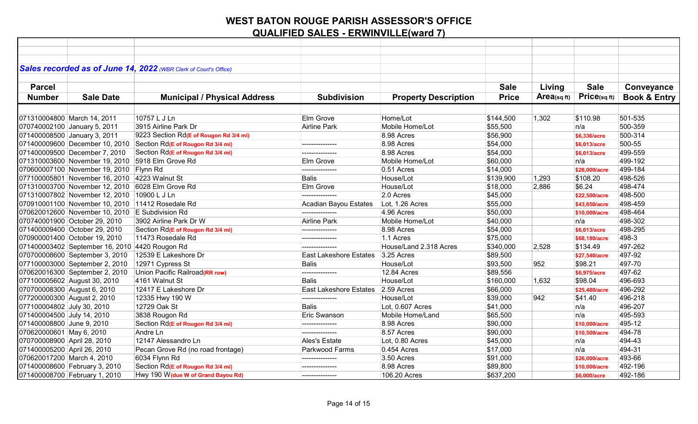| Sales recorded as of June 14, 2022 (WBR Clerk of Court's Office)               |                                        |                                   |                             |              |            |               |                         |
|--------------------------------------------------------------------------------|----------------------------------------|-----------------------------------|-----------------------------|--------------|------------|---------------|-------------------------|
|                                                                                |                                        |                                   |                             |              |            |               |                         |
| <b>Parcel</b>                                                                  |                                        |                                   |                             | <b>Sale</b>  | Living     | <b>Sale</b>   | Conveyance              |
| <b>Number</b><br><b>Sale Date</b>                                              | <b>Municipal / Physical Address</b>    | <b>Subdivision</b>                | <b>Property Description</b> | <b>Price</b> | Area(sqft) | Price(sq ft)  | <b>Book &amp; Entry</b> |
|                                                                                |                                        |                                   |                             |              |            |               |                         |
| 071310004800 March 14, 2011                                                    | 10757 L J Ln                           | Elm Grove                         | Home/Lot                    | \$144,500    | 1,302      | \$110.98      | 501-535                 |
| 070740002100 January 5, 2011                                                   | 3915 Airline Park Dr                   | Airline Park                      | Mobile Home/Lot             | \$55,500     |            | n/a           | 500-359                 |
| 071400008500 January 3, 2011                                                   | 9223 Section Rd(E of Rougon Rd 3/4 mi) |                                   | 8.98 Acres                  | \$56,900     |            | \$6,336/acre  | 500-314                 |
| $\vert 071400009600 \vert$ December 10, 2010 Section Rd(E of Rougon Rd 3/4 mi) |                                        | ---------------                   | 8.98 Acres                  | \$54,000     |            | \$6,013/acre  | 500-55                  |
| 071400009500 December 7, 2010                                                  | Section Rd(E of Rougon Rd 3/4 mi)      | ---------------                   | 8.98 Acres                  | \$54,000     |            | \$6,013/acre  | 499-559                 |
| 071310003600 November 19, 2010 5918 Elm Grove Rd                               |                                        | Elm Grove                         | Mobile Home/Lot             | \$60,000     |            | n/a           | 499-192                 |
| 070600007100 November 19, 2010 Flynn Rd                                        |                                        | ---------------                   | 0.51 Acres                  | \$14,000     |            | \$28,000/acre | 499-184                 |
| 077100005801 November 16, 2010 4223 Walnut St                                  |                                        | <b>Balis</b>                      | House/Lot                   | \$139,900    | 1,293      | \$108.20      | 498-526                 |
| 071310003700 November 12, 2010 6028 Elm Grove Rd                               |                                        | Elm Grove                         | House/Lot                   | \$18,000     | 2,886      | \$6.24        | 498-474                 |
| 071310007802 November 12, 2010 10900 L J Ln                                    |                                        | ---------------                   | 2.0 Acres                   | \$45,000     |            | \$22,500/acre | 498-500                 |
| 070910001100 November 10, 2010 11412 Rosedale Rd                               |                                        | Acadian Bayou Estates             | Lot, 1.26 Acres             | \$55,000     |            | \$43,650/acre | 498-459                 |
| 070620012600 November 10, 2010 E Subdivision Rd                                |                                        | ---------------                   | 4.96 Acres                  | \$50,000     |            | \$10,000/acre | 498-464                 |
| 070740001900 October 29, 2010                                                  | 3902 Airline Park Dr W                 | <b>Airline Park</b>               | Mobile Home/Lot             | \$40,000     |            | n/a           | 498-302                 |
| 071400009400 October 29, 2010                                                  | Section Rd(E of Rougon Rd 3/4 mi)      | ---------------                   | 8.98 Acres                  | \$54,000     |            | \$6,013/acre  | 498-295                 |
| 070900001400 October 19, 2010                                                  | 11473 Rosedale Rd                      | ---------------                   | 1.1 Acres                   | \$75,000     |            | \$68,180/acre | 498-3                   |
| 071400003402 September 16, 2010 4420 Rougon Rd                                 |                                        |                                   | House/Land 2.318 Acres      | \$340,000    | 2,528      | \$134.49      | 497-262                 |
| 070700008600 September 3, 2010                                                 | 12539 E Lakeshore Dr                   | East Lakeshore Estates 3.25 Acres |                             | \$89,500     |            | \$27,540/acre | 497-92                  |
| 077100003000 September 2, 2010                                                 | 12971 Cypress St                       | <b>Balis</b>                      | House/Lot                   | \$93,500     | 952        | \$98.21       | 497-70                  |
| 070620016300 September 2, 2010                                                 | Union Pacific Railroad(RR row)         | ---------------                   | 12.84 Acres                 | \$89,556     |            | \$6,975/acre  | 497-62                  |
| 077100005602 August 30, 2010                                                   | 4161 Walnut St                         | <b>Balis</b>                      | House/Lot                   | \$160,000    | 1,632      | \$98.04       | 496-693                 |
| 070700008300 August 6, 2010                                                    | 12417 E Lakeshore Dr                   | <b>East Lakeshore Estates</b>     | $2.59$ Acres                | \$66,000     |            | \$25,480/acre | 496-292                 |
| 077200000300 August 2, 2010                                                    | 12335 Hwy 190 W                        | ---------------                   | House/Lot                   | \$39,000     | 942        | \$41.40       | 496-218                 |
| 077100004802 July 30, 2010                                                     | 12729 Oak St                           | <b>Balis</b>                      | Lot, 0.607 Acres            | \$41,000     |            | n/a           | 496-207                 |
| 071400004500 July 14, 2010                                                     | 3838 Rougon Rd                         | <b>Eric Swanson</b>               | Mobile Home/Land            | \$65,500     |            | n/a           | 495-593                 |
| 071400008800 June 9, 2010                                                      | Section Rd(E of Rougon Rd 3/4 mi)      | ---------------                   | 8.98 Acres                  | \$90,000     |            | \$10,000/acre | 495-12                  |
| 070620000601 May 6, 2010                                                       | Andre Ln                               | ---------------                   | 8.57 Acres                  | \$90,000     |            | \$10,500/acre | 494-78                  |
| 070700008900 April 28, 2010                                                    | 12147 Alessandro Ln                    | Ales's Estate                     | Lot, 0.80 Acres             | \$45,000     |            | n/a           | 494-43                  |
| 071400005200 April 26, 2010                                                    | Pecan Grove Rd (no road frontage)      | Parkwood Farms                    | 0.454 Acres                 | \$17,000     |            | n/a           | 494-31                  |
| 070620017200 March 4, 2010                                                     | 6034 Flynn Rd                          | ---------------                   | 3.50 Acres                  | \$91,000     |            | \$26,000/acre | 493-66                  |
| 071400008600 February 3, 2010                                                  | Section Rd(E of Rougon Rd 3/4 mi)      | ---------------                   | 8.98 Acres                  | \$89,800     |            | \$10,000/acre | 492-196                 |
| 071400008700 February 1, 2010                                                  | Hwy 190 W (due W of Grand Bayou Rd)    | ---------------                   | 106.20 Acres                | \$637,200    |            | \$6,000/acre  | 492-186                 |